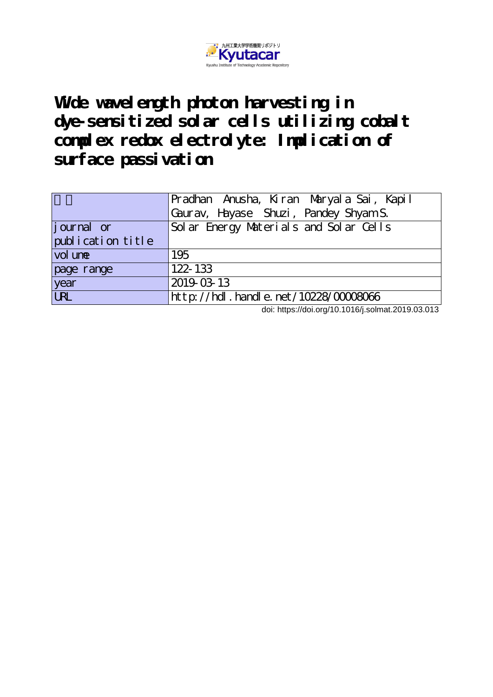

Wide wavel ength photon harvesting in **dye-sensitized solar cells utilizing cobalt complex redox electrolyte: Implication of surface passivation**

|                   | Pradhan Anusha, Kiran Maryala Sai, Kapil      |
|-------------------|-----------------------------------------------|
|                   | Gaurav, Hayase Shuzi, Pandey Shyam S.         |
| journal or        | Solar Energy Materials and Solar Cells        |
| publication title |                                               |
| vol une           | 195                                           |
| page range        | 122-133                                       |
| year              | 2019-03-13                                    |
| <b>URL</b>        | $ht$ t p: //hdl. handl e. net /10228/00008066 |

doi: https://doi.org/10.1016/j.solmat.2019.03.013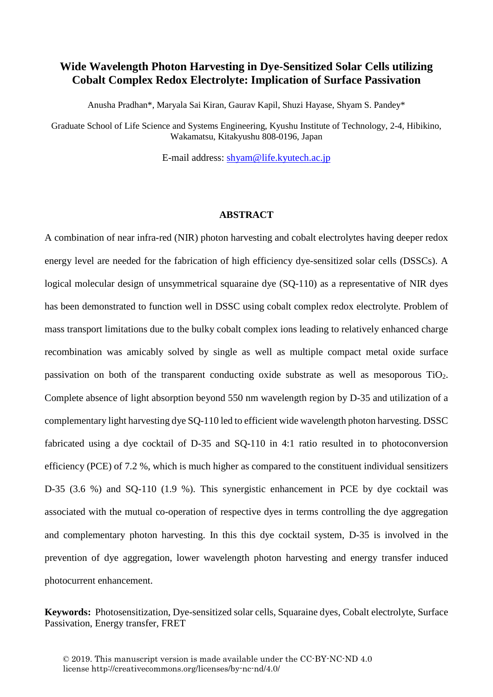# **Wide Wavelength Photon Harvesting in Dye-Sensitized Solar Cells utilizing Cobalt Complex Redox Electrolyte: Implication of Surface Passivation**

Anusha Pradhan\*, Maryala Sai Kiran, Gaurav Kapil, Shuzi Hayase, Shyam S. Pandey\*

Graduate School of Life Science and Systems Engineering, Kyushu Institute of Technology, 2-4, Hibikino, Wakamatsu, Kitakyushu 808-0196, Japan

E-mail address: [shyam@life.kyutech.ac.jp](mailto:shyam@life.kyutech.ac.jp)

#### **ABSTRACT**

A combination of near infra-red (NIR) photon harvesting and cobalt electrolytes having deeper redox energy level are needed for the fabrication of high efficiency dye-sensitized solar cells (DSSCs). A logical molecular design of unsymmetrical squaraine dye (SQ-110) as a representative of NIR dyes has been demonstrated to function well in DSSC using cobalt complex redox electrolyte. Problem of mass transport limitations due to the bulky cobalt complex ions leading to relatively enhanced charge recombination was amicably solved by single as well as multiple compact metal oxide surface passivation on both of the transparent conducting oxide substrate as well as mesoporous TiO2. Complete absence of light absorption beyond 550 nm wavelength region by D-35 and utilization of a complementary light harvesting dye SQ-110 led to efficient wide wavelength photon harvesting. DSSC fabricated using a dye cocktail of D-35 and SQ-110 in 4:1 ratio resulted in to photoconversion efficiency (PCE) of 7.2 %, which is much higher as compared to the constituent individual sensitizers D-35 (3.6 %) and SQ-110 (1.9 %). This synergistic enhancement in PCE by dye cocktail was associated with the mutual co-operation of respective dyes in terms controlling the dye aggregation and complementary photon harvesting. In this this dye cocktail system, D-35 is involved in the prevention of dye aggregation, lower wavelength photon harvesting and energy transfer induced photocurrent enhancement.

**Keywords:** Photosensitization, Dye-sensitized solar cells, Squaraine dyes, Cobalt electrolyte, Surface Passivation, Energy transfer, FRET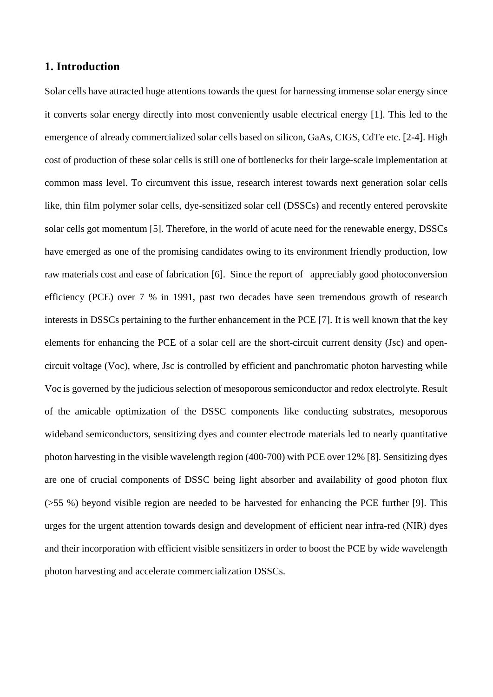# **1. Introduction**

Solar cells have attracted huge attentions towards the quest for harnessing immense solar energy since it converts solar energy directly into most conveniently usable electrical energy [1]. This led to the emergence of already commercialized solar cells based on silicon, GaAs, CIGS, CdTe etc. [2-4]. High cost of production of these solar cells is still one of bottlenecks for their large-scale implementation at common mass level. To circumvent this issue, research interest towards next generation solar cells like, thin film polymer solar cells, dye-sensitized solar cell (DSSCs) and recently entered perovskite solar cells got momentum [5]. Therefore, in the world of acute need for the renewable energy, DSSCs have emerged as one of the promising candidates owing to its environment friendly production, low raw materials cost and ease of fabrication [6]. Since the report of appreciably good photoconversion efficiency (PCE) over 7 % in 1991, past two decades have seen tremendous growth of research interests in DSSCs pertaining to the further enhancement in the PCE [7]. It is well known that the key elements for enhancing the PCE of a solar cell are the short-circuit current density (Jsc) and opencircuit voltage (Voc), where, Jsc is controlled by efficient and panchromatic photon harvesting while Voc is governed by the judicious selection of mesoporous semiconductor and redox electrolyte. Result of the amicable optimization of the DSSC components like conducting substrates, mesoporous wideband semiconductors, sensitizing dyes and counter electrode materials led to nearly quantitative photon harvesting in the visible wavelength region (400-700) with PCE over 12% [8]. Sensitizing dyes are one of crucial components of DSSC being light absorber and availability of good photon flux (>55 %) beyond visible region are needed to be harvested for enhancing the PCE further [9]. This urges for the urgent attention towards design and development of efficient near infra-red (NIR) dyes and their incorporation with efficient visible sensitizers in order to boost the PCE by wide wavelength photon harvesting and accelerate commercialization DSSCs.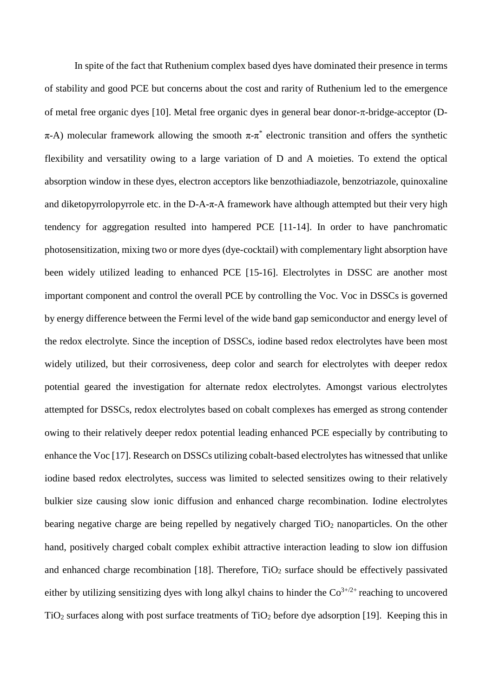In spite of the fact that Ruthenium complex based dyes have dominated their presence in terms of stability and good PCE but concerns about the cost and rarity of Ruthenium led to the emergence of metal free organic dyes [10]. Metal free organic dyes in general bear donor-π-bridge-acceptor (D $π$ -A) molecular framework allowing the smooth  $π$ -π<sup>\*</sup> electronic transition and offers the synthetic flexibility and versatility owing to a large variation of D and A moieties. To extend the optical absorption window in these dyes, electron acceptors like benzothiadiazole, benzotriazole, quinoxaline and diketopyrrolopyrrole etc. in the D-A- $\pi$ -A framework have although attempted but their very high tendency for aggregation resulted into hampered PCE [11-14]. In order to have panchromatic photosensitization, mixing two or more dyes (dye-cocktail) with complementary light absorption have been widely utilized leading to enhanced PCE [15-16]. Electrolytes in DSSC are another most important component and control the overall PCE by controlling the Voc. Voc in DSSCs is governed by energy difference between the Fermi level of the wide band gap semiconductor and energy level of the redox electrolyte. Since the inception of DSSCs, iodine based redox electrolytes have been most widely utilized, but their corrosiveness, deep color and search for electrolytes with deeper redox potential geared the investigation for alternate redox electrolytes. Amongst various electrolytes attempted for DSSCs, redox electrolytes based on cobalt complexes has emerged as strong contender owing to their relatively deeper redox potential leading enhanced PCE especially by contributing to enhance the Voc [17]. Research on DSSCs utilizing cobalt-based electrolytes has witnessed that unlike iodine based redox electrolytes, success was limited to selected sensitizes owing to their relatively bulkier size causing slow ionic diffusion and enhanced charge recombination. Iodine electrolytes bearing negative charge are being repelled by negatively charged  $TiO<sub>2</sub>$  nanoparticles. On the other hand, positively charged cobalt complex exhibit attractive interaction leading to slow ion diffusion and enhanced charge recombination [18]. Therefore,  $TiO<sub>2</sub>$  surface should be effectively passivated either by utilizing sensitizing dyes with long alkyl chains to hinder the  $Co<sup>3+/2+</sup>$  reaching to uncovered TiO2 surfaces along with post surface treatments of TiO2 before dye adsorption [19]. Keeping this in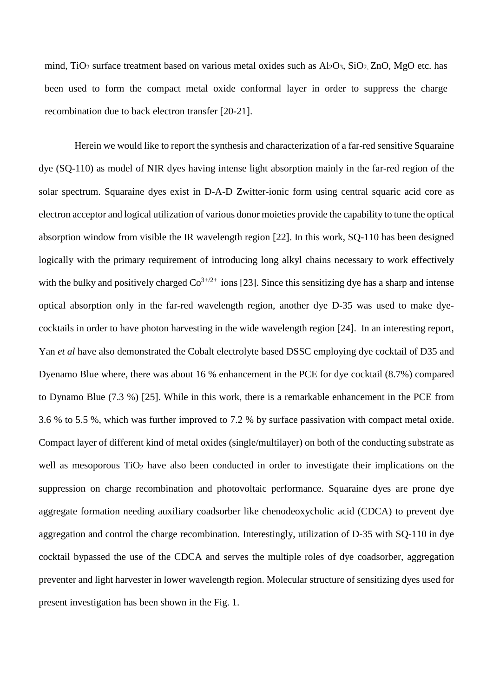mind, TiO<sub>2</sub> surface treatment based on various metal oxides such as  $Al_2O_3$ ,  $SiO_2$ ,  $ZnO$ ,  $MgO$  etc. has been used to form the compact metal oxide conformal layer in order to suppress the charge recombination due to back electron transfer [20-21].

Herein we would like to report the synthesis and characterization of a far-red sensitive Squaraine dye (SQ-110) as model of NIR dyes having intense light absorption mainly in the far-red region of the solar spectrum. Squaraine dyes exist in D-A-D Zwitter-ionic form using central squaric acid core as electron acceptor and logical utilization of various donor moieties provide the capability to tune the optical absorption window from visible the IR wavelength region [22]. In this work, SQ-110 has been designed logically with the primary requirement of introducing long alkyl chains necessary to work effectively with the bulky and positively charged  $Co^{3+/2+}$  ions [23]. Since this sensitizing dye has a sharp and intense optical absorption only in the far-red wavelength region, another dye D-35 was used to make dyecocktails in order to have photon harvesting in the wide wavelength region [24]. In an interesting report, Yan *et al* have also demonstrated the Cobalt electrolyte based DSSC employing dye cocktail of D35 and Dyenamo Blue where, there was about 16 % enhancement in the PCE for dye cocktail (8.7%) compared to Dynamo Blue (7.3 %) [25]. While in this work, there is a remarkable enhancement in the PCE from 3.6 % to 5.5 %, which was further improved to 7.2 % by surface passivation with compact metal oxide. Compact layer of different kind of metal oxides (single/multilayer) on both of the conducting substrate as well as mesoporous  $TiO<sub>2</sub>$  have also been conducted in order to investigate their implications on the suppression on charge recombination and photovoltaic performance. Squaraine dyes are prone dye aggregate formation needing auxiliary coadsorber like chenodeoxycholic acid (CDCA) to prevent dye aggregation and control the charge recombination. Interestingly, utilization of D-35 with SQ-110 in dye cocktail bypassed the use of the CDCA and serves the multiple roles of dye coadsorber, aggregation preventer and light harvester in lower wavelength region. Molecular structure of sensitizing dyes used for present investigation has been shown in the Fig. 1.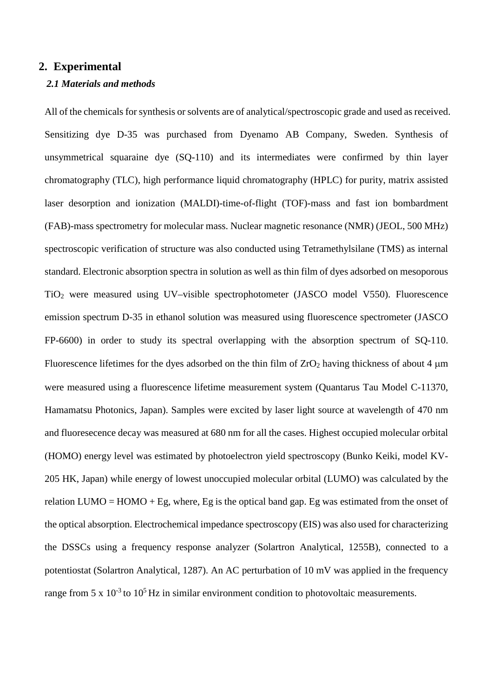# **2. Experimental**

## *2.1 Materials and methods*

All of the chemicals for synthesis or solvents are of analytical/spectroscopic grade and used as received. Sensitizing dye D-35 was purchased from Dyenamo AB Company, Sweden. Synthesis of unsymmetrical squaraine dye (SQ-110) and its intermediates were confirmed by thin layer chromatography (TLC), high performance liquid chromatography (HPLC) for purity, matrix assisted laser desorption and ionization (MALDI)-time-of-flight (TOF)-mass and fast ion bombardment (FAB)-mass spectrometry for molecular mass. Nuclear magnetic resonance (NMR) (JEOL, 500 MHz) spectroscopic verification of structure was also conducted using Tetramethylsilane (TMS) as internal standard. Electronic absorption spectra in solution as well as thin film of dyes adsorbed on mesoporous TiO2 were measured using UV–visible spectrophotometer (JASCO model V550). Fluorescence emission spectrum D-35 in ethanol solution was measured using fluorescence spectrometer (JASCO FP-6600) in order to study its spectral overlapping with the absorption spectrum of SQ-110. Fluorescence lifetimes for the dyes adsorbed on the thin film of  $ZrO<sub>2</sub>$  having thickness of about 4  $\mu$ m were measured using a fluorescence lifetime measurement system (Quantarus Tau Model C-11370, Hamamatsu Photonics, Japan). Samples were excited by laser light source at wavelength of 470 nm and fluoresecence decay was measured at 680 nm for all the cases. Highest occupied molecular orbital (HOMO) energy level was estimated by photoelectron yield spectroscopy (Bunko Keiki, model KV-205 HK, Japan) while energy of lowest unoccupied molecular orbital (LUMO) was calculated by the relation LUMO =  $HOMO + Eg$ , where, Eg is the optical band gap. Eg was estimated from the onset of the optical absorption. Electrochemical impedance spectroscopy (EIS) was also used for characterizing the DSSCs using a frequency response analyzer (Solartron Analytical, 1255B), connected to a potentiostat (Solartron Analytical, 1287). An AC perturbation of 10 mV was applied in the frequency range from 5 x  $10^{-3}$  to  $10^{5}$  Hz in similar environment condition to photovoltaic measurements.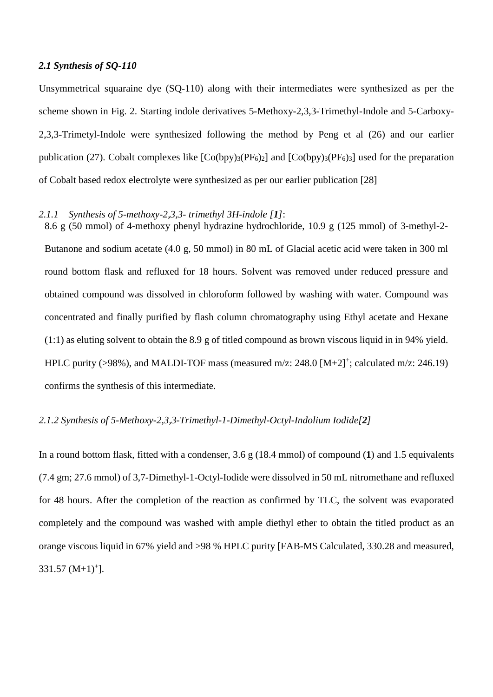# *2.1 Synthesis of SQ-110*

Unsymmetrical squaraine dye (SQ-110) along with their intermediates were synthesized as per the scheme shown in Fig. 2. Starting indole derivatives 5-Methoxy-2,3,3-Trimethyl-Indole and 5-Carboxy-2,3,3-Trimetyl-Indole were synthesized following the method by Peng et al (26) and our earlier publication (27). Cobalt complexes like  $[Co(bpy)_{3}(PF_6)_2]$  and  $[Co(bpy)_{3}(PF_6)_3]$  used for the preparation of Cobalt based redox electrolyte were synthesized as per our earlier publication [28]

# *2.1.1 Synthesis of 5-methoxy-2,3,3- trimethyl 3H-indole [1]*:

8.6 g (50 mmol) of 4-methoxy phenyl hydrazine hydrochloride, 10.9 g (125 mmol) of 3-methyl-2- Butanone and sodium acetate (4.0 g, 50 mmol) in 80 mL of Glacial acetic acid were taken in 300 ml round bottom flask and refluxed for 18 hours. Solvent was removed under reduced pressure and obtained compound was dissolved in chloroform followed by washing with water. Compound was concentrated and finally purified by flash column chromatography using Ethyl acetate and Hexane (1:1) as eluting solvent to obtain the 8.9 g of titled compound as brown viscous liquid in in 94% yield. HPLC purity ( $>98\%$ ), and MALDI-TOF mass (measured m/z: 248.0 [M+2]<sup>+</sup>; calculated m/z: 246.19) confirms the synthesis of this intermediate.

## *2.1.2 Synthesis of 5-Methoxy-2,3,3-Trimethyl-1-Dimethyl-Octyl-Indolium Iodide[2]*

In a round bottom flask, fitted with a condenser, 3.6 g (18.4 mmol) of compound (**1**) and 1.5 equivalents (7.4 gm; 27.6 mmol) of 3,7-Dimethyl-1-Octyl-Iodide were dissolved in 50 mL nitromethane and refluxed for 48 hours. After the completion of the reaction as confirmed by TLC, the solvent was evaporated completely and the compound was washed with ample diethyl ether to obtain the titled product as an orange viscous liquid in 67% yield and >98 % HPLC purity [FAB-MS Calculated, 330.28 and measured,  $331.57 (M+1)^{+}$ ].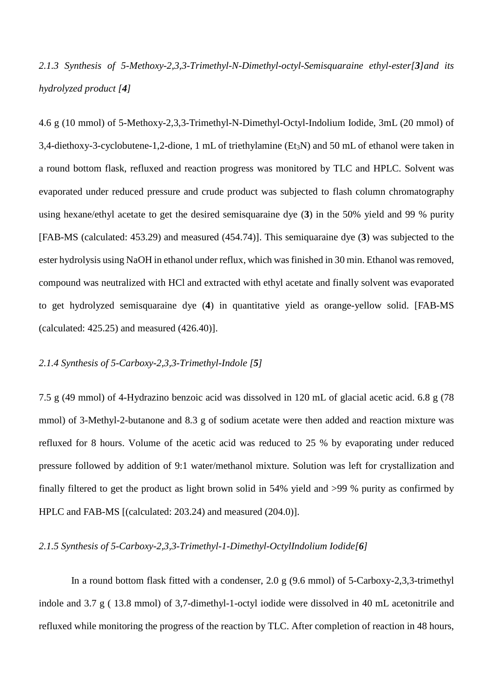*2.1.3 Synthesis of 5-Methoxy-2,3,3-Trimethyl-N-Dimethyl-octyl-Semisquaraine ethyl-ester[3]and its hydrolyzed product [4]*

4.6 g (10 mmol) of 5-Methoxy-2,3,3-Trimethyl-N-Dimethyl-Octyl-Indolium Iodide, 3mL (20 mmol) of 3,4-diethoxy-3-cyclobutene-1,2-dione, 1 mL of triethylamine (Et<sub>3</sub>N) and 50 mL of ethanol were taken in a round bottom flask, refluxed and reaction progress was monitored by TLC and HPLC. Solvent was evaporated under reduced pressure and crude product was subjected to flash column chromatography using hexane/ethyl acetate to get the desired semisquaraine dye (**3**) in the 50% yield and 99 % purity [FAB-MS (calculated: 453.29) and measured (454.74)]. This semiquaraine dye (**3**) was subjected to the ester hydrolysis using NaOH in ethanol under reflux, which was finished in 30 min. Ethanol was removed, compound was neutralized with HCl and extracted with ethyl acetate and finally solvent was evaporated to get hydrolyzed semisquaraine dye (**4**) in quantitative yield as orange-yellow solid. [FAB-MS (calculated: 425.25) and measured (426.40)].

# *2.1.4 Synthesis of 5-Carboxy-2,3,3-Trimethyl-Indole [5]*

7.5 g (49 mmol) of 4-Hydrazino benzoic acid was dissolved in 120 mL of glacial acetic acid. 6.8 g (78 mmol) of 3-Methyl-2-butanone and 8.3 g of sodium acetate were then added and reaction mixture was refluxed for 8 hours. Volume of the acetic acid was reduced to 25 % by evaporating under reduced pressure followed by addition of 9:1 water/methanol mixture. Solution was left for crystallization and finally filtered to get the product as light brown solid in 54% yield and >99 % purity as confirmed by HPLC and FAB-MS [(calculated: 203.24) and measured (204.0)].

## *2.1.5 Synthesis of 5-Carboxy-2,3,3-Trimethyl-1-Dimethyl-OctylIndolium Iodide[6]*

 In a round bottom flask fitted with a condenser, 2.0 g (9.6 mmol) of 5-Carboxy-2,3,3-trimethyl indole and 3.7 g ( 13.8 mmol) of 3,7-dimethyl-1-octyl iodide were dissolved in 40 mL acetonitrile and refluxed while monitoring the progress of the reaction by TLC. After completion of reaction in 48 hours,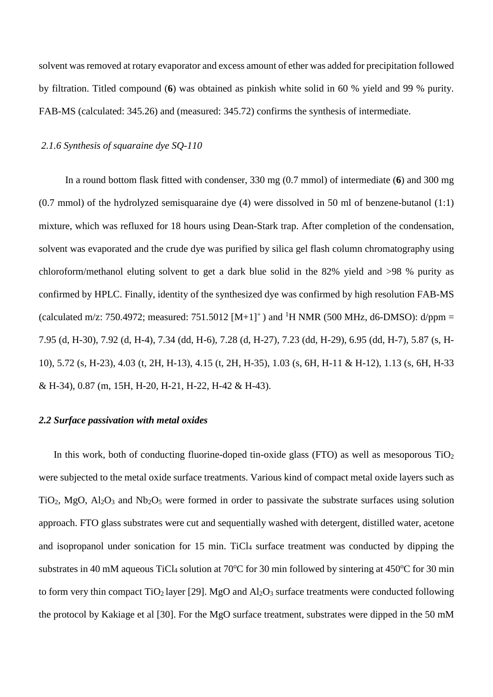solvent was removed at rotary evaporator and excess amount of ether was added for precipitation followed by filtration. Titled compound (**6**) was obtained as pinkish white solid in 60 % yield and 99 % purity. FAB-MS (calculated: 345.26) and (measured: 345.72) confirms the synthesis of intermediate.

# *2.1.6 Synthesis of squaraine dye SQ-110*

 In a round bottom flask fitted with condenser, 330 mg (0.7 mmol) of intermediate (**6**) and 300 mg (0.7 mmol) of the hydrolyzed semisquaraine dye (4) were dissolved in 50 ml of benzene-butanol (1:1) mixture, which was refluxed for 18 hours using Dean-Stark trap. After completion of the condensation, solvent was evaporated and the crude dye was purified by silica gel flash column chromatography using chloroform/methanol eluting solvent to get a dark blue solid in the 82% yield and >98 % purity as confirmed by HPLC. Finally, identity of the synthesized dye was confirmed by high resolution FAB-MS (calculated m/z: 750.4972; measured: 751.5012  $[M+1]^+$ ) and <sup>1</sup>H NMR (500 MHz, d6-DMSO): d/ppm = 7.95 (d, H-30), 7.92 (d, H-4), 7.34 (dd, H-6), 7.28 (d, H-27), 7.23 (dd, H-29), 6.95 (dd, H-7), 5.87 (s, H-10), 5.72 (s, H-23), 4.03 (t, 2H, H-13), 4.15 (t, 2H, H-35), 1.03 (s, 6H, H-11 & H-12), 1.13 (s, 6H, H-33 & H-34), 0.87 (m, 15H, H-20, H-21, H-22, H-42 & H-43).

#### *2.2 Surface passivation with metal oxides*

In this work, both of conducting fluorine-doped tin-oxide glass (FTO) as well as mesoporous  $TiO<sub>2</sub>$ were subjected to the metal oxide surface treatments. Various kind of compact metal oxide layers such as TiO<sub>2</sub>, MgO,  $Al_2O_3$  and  $Nb_2O_5$  were formed in order to passivate the substrate surfaces using solution approach. FTO glass substrates were cut and sequentially washed with detergent, distilled water, acetone and isopropanol under sonication for 15 min. TiCl<sub>4</sub> surface treatment was conducted by dipping the substrates in 40 mM aqueous TiCl4 solution at 70°C for 30 min followed by sintering at 450°C for 30 min to form very thin compact TiO<sub>2</sub> layer [29]. MgO and  $Al_2O_3$  surface treatments were conducted following the protocol by Kakiage et al [30]. For the MgO surface treatment, substrates were dipped in the 50 mM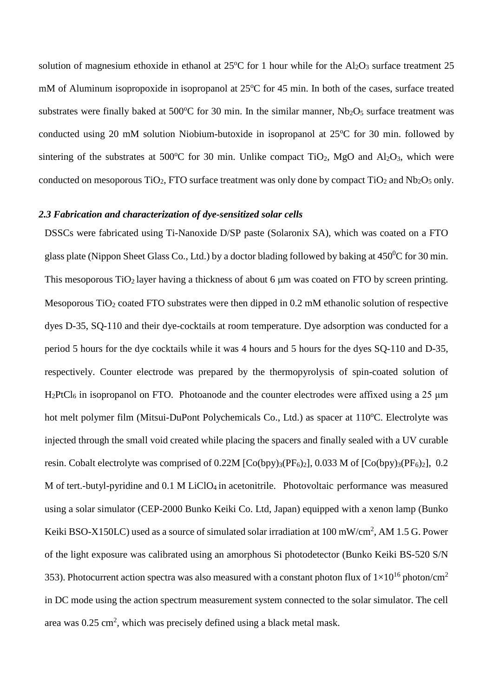solution of magnesium ethoxide in ethanol at  $25^{\circ}$ C for 1 hour while for the Al<sub>2</sub>O<sub>3</sub> surface treatment 25 mM of Aluminum isopropoxide in isopropanol at 25°C for 45 min. In both of the cases, surface treated substrates were finally baked at 500 $^{\circ}$ C for 30 min. In the similar manner, Nb<sub>2</sub>O<sub>5</sub> surface treatment was conducted using 20 mM solution Niobium-butoxide in isopropanol at 25°C for 30 min. followed by sintering of the substrates at 500°C for 30 min. Unlike compact  $TiO_2$ , MgO and  $Al_2O_3$ , which were conducted on mesoporous  $TiO<sub>2</sub>$ , FTO surface treatment was only done by compact  $TiO<sub>2</sub>$  and Nb<sub>2</sub>O<sub>5</sub> only.

# *2.3 Fabrication and characterization of dye-sensitized solar cells*

DSSCs were fabricated using Ti-Nanoxide D/SP paste (Solaronix SA), which was coated on a FTO glass plate (Nippon Sheet Glass Co., Ltd.) by a doctor blading followed by baking at  $450^{\circ}$ C for 30 min. This mesoporous  $TiO<sub>2</sub>$  layer having a thickness of about 6  $\mu$ m was coated on FTO by screen printing. Mesoporous  $TiO<sub>2</sub>$  coated FTO substrates were then dipped in 0.2 mM ethanolic solution of respective dyes D-35, SQ-110 and their dye-cocktails at room temperature. Dye adsorption was conducted for a period 5 hours for the dye cocktails while it was 4 hours and 5 hours for the dyes SQ-110 and D-35, respectively. Counter electrode was prepared by the thermopyrolysis of spin-coated solution of H<sub>2</sub>PtCl<sub>6</sub> in isopropanol on FTO. Photoanode and the counter electrodes were affixed using a 25 μm hot melt polymer film (Mitsui-DuPont Polychemicals Co., Ltd.) as spacer at 110°C. Electrolyte was injected through the small void created while placing the spacers and finally sealed with a UV curable resin. Cobalt electrolyte was comprised of  $0.22M$  [Co(bpy)<sub>3</sub>(PF<sub>6</sub>)<sub>2</sub>], 0.033 M of [Co(bpy)<sub>3</sub>(PF<sub>6</sub>)<sub>2</sub>], 0.2 M of tert.-butyl-pyridine and 0.1 M LiClO<sub>4</sub> in acetonitrile. Photovoltaic performance was measured using a solar simulator (CEP-2000 Bunko Keiki Co. Ltd, Japan) equipped with a xenon lamp (Bunko Keiki BSO-X150LC) used as a source of simulated solar irradiation at 100 mW/cm<sup>2</sup>, AM 1.5 G. Power of the light exposure was calibrated using an amorphous Si photodetector (Bunko Keiki BS-520 S/N 353). Photocurrent action spectra was also measured with a constant photon flux of  $1\times10^{16}$  photon/cm<sup>2</sup> in DC mode using the action spectrum measurement system connected to the solar simulator. The cell area was  $0.25 \text{ cm}^2$ , which was precisely defined using a black metal mask.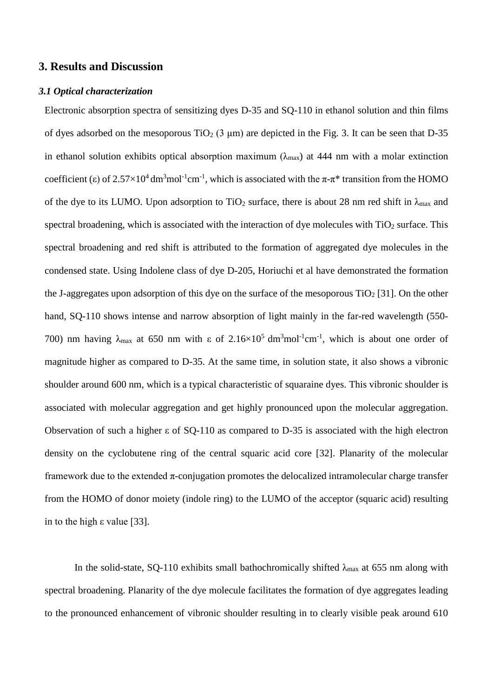# **3. Results and Discussion**

#### *3.1 Optical characterization*

Electronic absorption spectra of sensitizing dyes D-35 and SQ-110 in ethanol solution and thin films of dyes adsorbed on the mesoporous  $TiO<sub>2</sub>$  (3 µm) are depicted in the Fig. 3. It can be seen that D-35 in ethanol solution exhibits optical absorption maximum ( $\lambda_{\text{max}}$ ) at 444 nm with a molar extinction coefficient (ε) of  $2.57 \times 10^4$  dm<sup>3</sup>mol<sup>-1</sup>cm<sup>-1</sup>, which is associated with the  $\pi$ - $\pi$ <sup>\*</sup> transition from the HOMO of the dye to its LUMO. Upon adsorption to TiO<sub>2</sub> surface, there is about 28 nm red shift in  $\lambda_{\text{max}}$  and spectral broadening, which is associated with the interaction of dye molecules with  $TiO<sub>2</sub>$  surface. This spectral broadening and red shift is attributed to the formation of aggregated dye molecules in the condensed state. Using Indolene class of dye D-205, Horiuchi et al have demonstrated the formation the J-aggregates upon adsorption of this dye on the surface of the mesoporous  $TiO<sub>2</sub> [31]$ . On the other hand, SQ-110 shows intense and narrow absorption of light mainly in the far-red wavelength (550- 700) nm having  $\lambda_{\text{max}}$  at 650 nm with  $\varepsilon$  of 2.16×10<sup>5</sup> dm<sup>3</sup>mol<sup>-1</sup>cm<sup>-1</sup>, which is about one order of magnitude higher as compared to D-35. At the same time, in solution state, it also shows a vibronic shoulder around 600 nm, which is a typical characteristic of squaraine dyes. This vibronic shoulder is associated with molecular aggregation and get highly pronounced upon the molecular aggregation. Observation of such a higher ε of SQ-110 as compared to D-35 is associated with the high electron density on the cyclobutene ring of the central squaric acid core [32]. Planarity of the molecular framework due to the extended  $\pi$ -conjugation promotes the delocalized intramolecular charge transfer from the HOMO of donor moiety (indole ring) to the LUMO of the acceptor (squaric acid) resulting in to the high ε value [33].

In the solid-state, SQ-110 exhibits small bathochromically shifted  $\lambda_{\text{max}}$  at 655 nm along with spectral broadening. Planarity of the dye molecule facilitates the formation of dye aggregates leading to the pronounced enhancement of vibronic shoulder resulting in to clearly visible peak around 610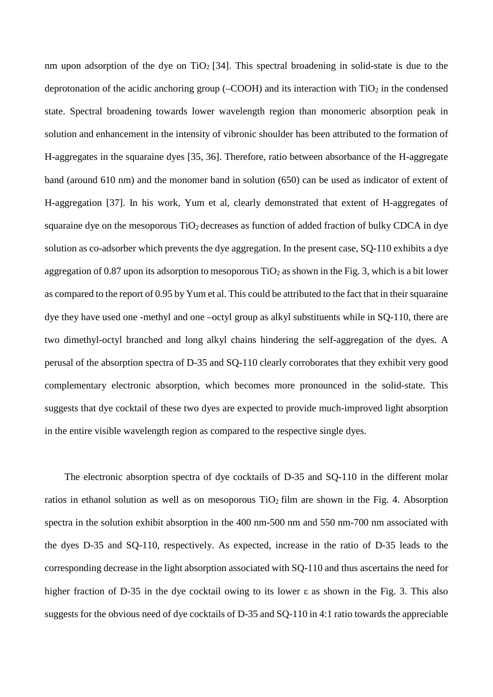nm upon adsorption of the dye on  $TiO<sub>2</sub>$  [34]. This spectral broadening in solid-state is due to the deprotonation of the acidic anchoring group ( $-COOH$ ) and its interaction with  $TiO<sub>2</sub>$  in the condensed state. Spectral broadening towards lower wavelength region than monomeric absorption peak in solution and enhancement in the intensity of vibronic shoulder has been attributed to the formation of H-aggregates in the squaraine dyes [35, 36]. Therefore, ratio between absorbance of the H-aggregate band (around 610 nm) and the monomer band in solution (650) can be used as indicator of extent of H-aggregation [37]. In his work, Yum et al, clearly demonstrated that extent of H-aggregates of squaraine dye on the mesoporous  $TiO<sub>2</sub>$  decreases as function of added fraction of bulky CDCA in dye solution as co-adsorber which prevents the dye aggregation. In the present case, SQ-110 exhibits a dye aggregation of 0.87 upon its adsorption to mesoporous  $TiO<sub>2</sub>$  as shown in the Fig. 3, which is a bit lower as compared to the report of 0.95 by Yum et al. This could be attributed to the fact that in their squaraine dye they have used one -methyl and one –octyl group as alkyl substituents while in SQ-110, there are two dimethyl-octyl branched and long alkyl chains hindering the self-aggregation of the dyes. A perusal of the absorption spectra of D-35 and SQ-110 clearly corroborates that they exhibit very good complementary electronic absorption, which becomes more pronounced in the solid-state. This suggests that dye cocktail of these two dyes are expected to provide much-improved light absorption in the entire visible wavelength region as compared to the respective single dyes.

 The electronic absorption spectra of dye cocktails of D-35 and SQ-110 in the different molar ratios in ethanol solution as well as on mesoporous TiO<sub>2</sub> film are shown in the Fig. 4. Absorption spectra in the solution exhibit absorption in the 400 nm-500 nm and 550 nm-700 nm associated with the dyes D-35 and SQ-110, respectively. As expected, increase in the ratio of D-35 leads to the corresponding decrease in the light absorption associated with SQ-110 and thus ascertains the need for higher fraction of D-35 in the dye cocktail owing to its lower ε as shown in the Fig. 3. This also suggests for the obvious need of dye cocktails of D-35 and SQ-110 in 4:1 ratio towards the appreciable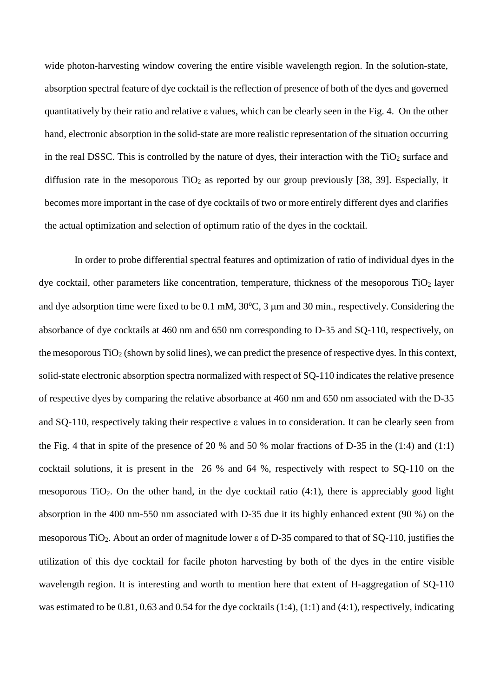wide photon-harvesting window covering the entire visible wavelength region. In the solution-state, absorption spectral feature of dye cocktail is the reflection of presence of both of the dyes and governed quantitatively by their ratio and relative ε values, which can be clearly seen in the Fig. 4. On the other hand, electronic absorption in the solid-state are more realistic representation of the situation occurring in the real DSSC. This is controlled by the nature of dyes, their interaction with the  $TiO<sub>2</sub>$  surface and diffusion rate in the mesoporous  $TiO<sub>2</sub>$  as reported by our group previously [38, 39]. Especially, it becomes more important in the case of dye cocktails of two or more entirely different dyes and clarifies the actual optimization and selection of optimum ratio of the dyes in the cocktail.

In order to probe differential spectral features and optimization of ratio of individual dyes in the dye cocktail, other parameters like concentration, temperature, thickness of the mesoporous  $TiO<sub>2</sub>$  layer and dye adsorption time were fixed to be  $0.1 \text{ mM}$ ,  $30^{\circ}\text{C}$ ,  $3 \mu\text{m}$  and  $30 \text{ min}$ , respectively. Considering the absorbance of dye cocktails at 460 nm and 650 nm corresponding to D-35 and SQ-110, respectively, on the mesoporous  $TiO<sub>2</sub>$  (shown by solid lines), we can predict the presence of respective dyes. In this context, solid-state electronic absorption spectra normalized with respect of SQ-110 indicates the relative presence of respective dyes by comparing the relative absorbance at 460 nm and 650 nm associated with the D-35 and SQ-110, respectively taking their respective ε values in to consideration. It can be clearly seen from the Fig. 4 that in spite of the presence of 20 % and 50 % molar fractions of D-35 in the (1:4) and (1:1) cocktail solutions, it is present in the 26 % and 64 %, respectively with respect to SQ-110 on the mesoporous TiO<sub>2</sub>. On the other hand, in the dye cocktail ratio  $(4:1)$ , there is appreciably good light absorption in the 400 nm-550 nm associated with D-35 due it its highly enhanced extent (90 %) on the mesoporous TiO<sub>2</sub>. About an order of magnitude lower ε of D-35 compared to that of SQ-110, justifies the utilization of this dye cocktail for facile photon harvesting by both of the dyes in the entire visible wavelength region. It is interesting and worth to mention here that extent of H-aggregation of SQ-110 was estimated to be 0.81, 0.63 and 0.54 for the dye cocktails (1:4), (1:1) and (4:1), respectively, indicating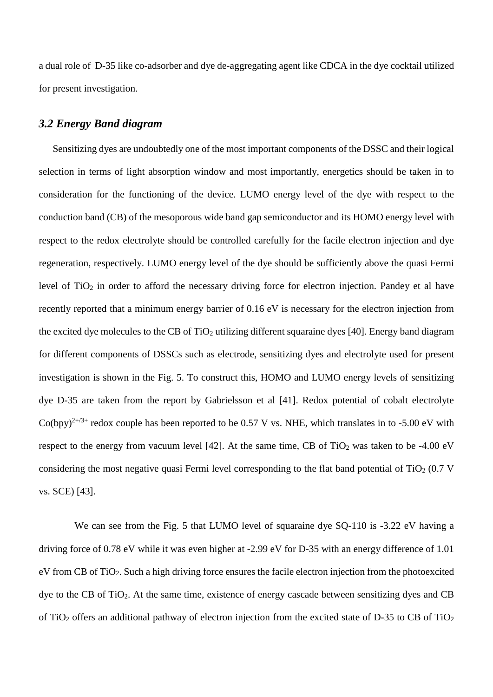a dual role of D-35 like co-adsorber and dye de-aggregating agent like CDCA in the dye cocktail utilized for present investigation.

# *3.2 Energy Band diagram*

 Sensitizing dyes are undoubtedly one of the most important components of the DSSC and their logical selection in terms of light absorption window and most importantly, energetics should be taken in to consideration for the functioning of the device. LUMO energy level of the dye with respect to the conduction band (CB) of the mesoporous wide band gap semiconductor and its HOMO energy level with respect to the redox electrolyte should be controlled carefully for the facile electron injection and dye regeneration, respectively. LUMO energy level of the dye should be sufficiently above the quasi Fermi level of TiO<sub>2</sub> in order to afford the necessary driving force for electron injection. Pandey et al have recently reported that a minimum energy barrier of 0.16 eV is necessary for the electron injection from the excited dye molecules to the CB of TiO<sub>2</sub> utilizing different squaraine dyes [40]. Energy band diagram for different components of DSSCs such as electrode, sensitizing dyes and electrolyte used for present investigation is shown in the Fig. 5. To construct this, HOMO and LUMO energy levels of sensitizing dye D-35 are taken from the report by Gabrielsson et al [41]. Redox potential of cobalt electrolyte Co(bpv)<sup>2+/3+</sup> redox couple has been reported to be 0.57 V vs. NHE, which translates in to -5.00 eV with respect to the energy from vacuum level [42]. At the same time, CB of TiO<sub>2</sub> was taken to be -4.00 eV considering the most negative quasi Fermi level corresponding to the flat band potential of  $TiO<sub>2</sub> (0.7 V)$ vs. SCE) [43].

We can see from the Fig. 5 that LUMO level of squaraine dye SQ-110 is -3.22 eV having a driving force of 0.78 eV while it was even higher at -2.99 eV for D-35 with an energy difference of 1.01 eV from CB of TiO2. Such a high driving force ensures the facile electron injection from the photoexcited dye to the CB of TiO<sub>2</sub>. At the same time, existence of energy cascade between sensitizing dyes and CB of TiO2 offers an additional pathway of electron injection from the excited state of D-35 to CB of TiO2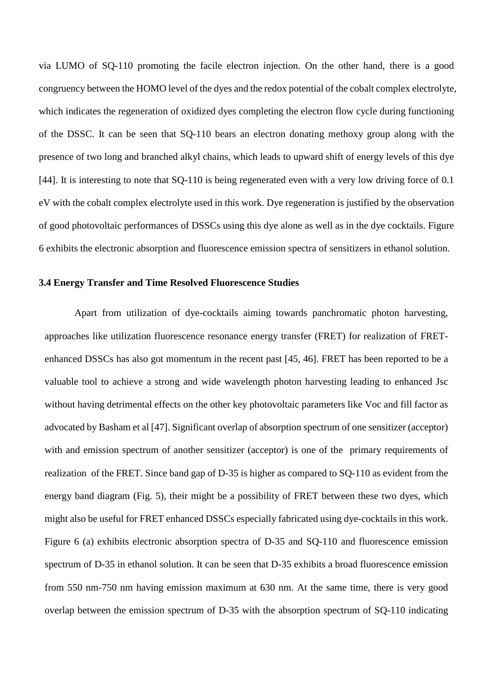via LUMO of SQ-110 promoting the facile electron injection. On the other hand, there is a good congruency between the HOMO level of the dyes and the redox potential of the cobalt complex electrolyte, which indicates the regeneration of oxidized dyes completing the electron flow cycle during functioning of the DSSC. It can be seen that SQ-110 bears an electron donating methoxy group along with the presence of two long and branched alkyl chains, which leads to upward shift of energy levels of this dye [44]. It is interesting to note that SQ-110 is being regenerated even with a very low driving force of 0.1 eV with the cobalt complex electrolyte used in this work. Dye regeneration is justified by the observation of good photovoltaic performances of DSSCs using this dye alone as well as in the dye cocktails. Figure 6 exhibits the electronic absorption and fluorescence emission spectra of sensitizers in ethanol solution.

#### **3.4 Energy Transfer and Time Resolved Fluorescence Studies**

Apart from utilization of dye-cocktails aiming towards panchromatic photon harvesting, approaches like utilization fluorescence resonance energy transfer (FRET) for realization of FRETenhanced DSSCs has also got momentum in the recent past [45, 46]. FRET has been reported to be a valuable tool to achieve a strong and wide wavelength photon harvesting leading to enhanced Jsc without having detrimental effects on the other key photovoltaic parameters like Voc and fill factor as advocated by Basham et al [47]. Significant overlap of absorption spectrum of one sensitizer (acceptor) with and emission spectrum of another sensitizer (acceptor) is one of the primary requirements of realization of the FRET. Since band gap of D-35 is higher as compared to SQ-110 as evident from the energy band diagram (Fig. 5), their might be a possibility of FRET between these two dyes, which might also be useful for FRET enhanced DSSCs especially fabricated using dye-cocktails in this work. Figure 6 (a) exhibits electronic absorption spectra of D-35 and SQ-110 and fluorescence emission spectrum of D-35 in ethanol solution. It can be seen that D-35 exhibits a broad fluorescence emission from 550 nm-750 nm having emission maximum at 630 nm. At the same time, there is very good overlap between the emission spectrum of D-35 with the absorption spectrum of SQ-110 indicating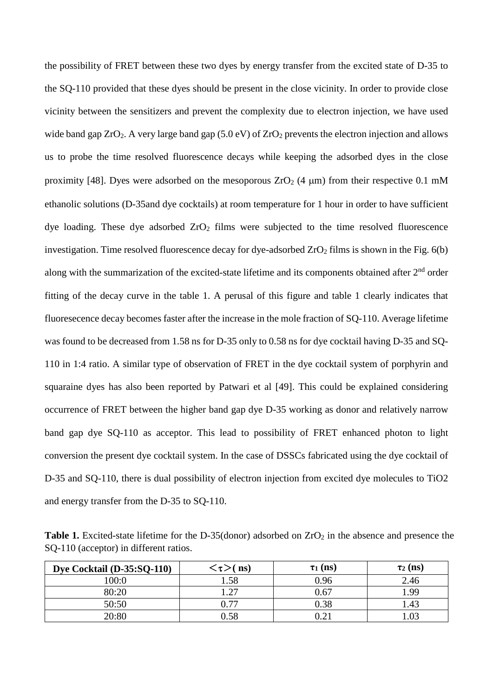the possibility of FRET between these two dyes by energy transfer from the excited state of D-35 to the SQ-110 provided that these dyes should be present in the close vicinity. In order to provide close vicinity between the sensitizers and prevent the complexity due to electron injection, we have used wide band gap  $ZrO_2$ . A very large band gap (5.0 eV) of  $ZrO_2$  prevents the electron injection and allows us to probe the time resolved fluorescence decays while keeping the adsorbed dyes in the close proximity [48]. Dyes were adsorbed on the mesoporous  $ZrO<sub>2</sub>$  (4 µm) from their respective 0.1 mM ethanolic solutions (D-35and dye cocktails) at room temperature for 1 hour in order to have sufficient dye loading. These dye adsorbed  $ZrO<sub>2</sub>$  films were subjected to the time resolved fluorescence investigation. Time resolved fluorescence decay for dye-adsorbed  $ZrO<sub>2</sub>$  films is shown in the Fig. 6(b) along with the summarization of the excited-state lifetime and its components obtained after 2<sup>nd</sup> order fitting of the decay curve in the table 1. A perusal of this figure and table 1 clearly indicates that fluoresecence decay becomes faster after the increase in the mole fraction of SQ-110. Average lifetime was found to be decreased from 1.58 ns for D-35 only to 0.58 ns for dye cocktail having D-35 and SQ-110 in 1:4 ratio. A similar type of observation of FRET in the dye cocktail system of porphyrin and squaraine dyes has also been reported by Patwari et al [49]. This could be explained considering occurrence of FRET between the higher band gap dye D-35 working as donor and relatively narrow band gap dye SQ-110 as acceptor. This lead to possibility of FRET enhanced photon to light conversion the present dye cocktail system. In the case of DSSCs fabricated using the dye cocktail of D-35 and SQ-110, there is dual possibility of electron injection from excited dye molecules to TiO2 and energy transfer from the D-35 to SQ-110.

**Table 1.** Excited-state lifetime for the D-35(donor) adsorbed on ZrO<sub>2</sub> in the absence and presence the SQ-110 (acceptor) in different ratios.

| Dye Cocktail (D-35:SQ-110) | $\langle \tau \rangle$ ( ns) | $\tau_1$ (ns) | $\tau_2$ (ns) |
|----------------------------|------------------------------|---------------|---------------|
| 100:0                      | . 58                         | 9.96          | 2.46          |
| 80:20                      |                              | 0.67          | .99           |
| 50:50                      | 0.77                         | 0.38          | .43           |
| 20:80                      | 0.58                         |               | .03           |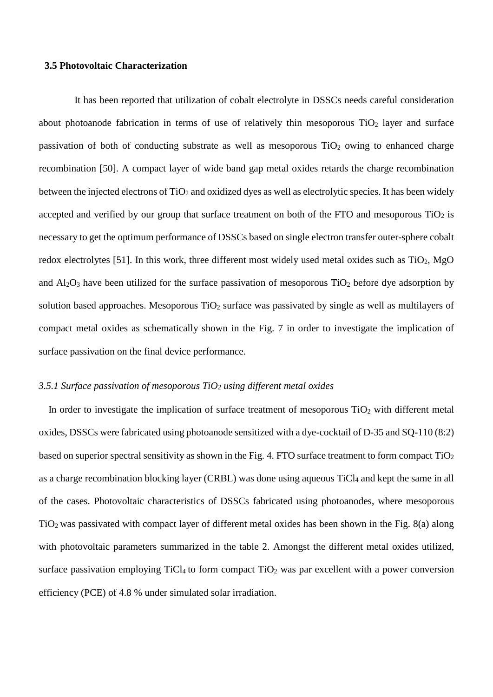#### **3.5 Photovoltaic Characterization**

It has been reported that utilization of cobalt electrolyte in DSSCs needs careful consideration about photoanode fabrication in terms of use of relatively thin mesoporous  $TiO<sub>2</sub>$  layer and surface passivation of both of conducting substrate as well as mesoporous  $TiO<sub>2</sub>$  owing to enhanced charge recombination [50]. A compact layer of wide band gap metal oxides retards the charge recombination between the injected electrons of TiO<sub>2</sub> and oxidized dyes as well as electrolytic species. It has been widely accepted and verified by our group that surface treatment on both of the FTO and mesoporous  $TiO<sub>2</sub>$  is necessary to get the optimum performance of DSSCs based on single electron transfer outer-sphere cobalt redox electrolytes [51]. In this work, three different most widely used metal oxides such as  $TiO<sub>2</sub>$ , MgO and  $Al_2O_3$  have been utilized for the surface passivation of mesoporous TiO<sub>2</sub> before dye adsorption by solution based approaches. Mesoporous  $TiO<sub>2</sub>$  surface was passivated by single as well as multilayers of compact metal oxides as schematically shown in the Fig. 7 in order to investigate the implication of surface passivation on the final device performance.

# *3.5.1 Surface passivation of mesoporous TiO2 using different metal oxides*

In order to investigate the implication of surface treatment of mesoporous TiO<sub>2</sub> with different metal oxides, DSSCs were fabricated using photoanode sensitized with a dye-cocktail of D-35 and SQ-110 (8:2) based on superior spectral sensitivity as shown in the Fig. 4. FTO surface treatment to form compact  $TiO<sub>2</sub>$ as a charge recombination blocking layer (CRBL) was done using aqueous TiCl4 and kept the same in all of the cases. Photovoltaic characteristics of DSSCs fabricated using photoanodes, where mesoporous TiO2 was passivated with compact layer of different metal oxides has been shown in the Fig. 8(a) along with photovoltaic parameters summarized in the table 2. Amongst the different metal oxides utilized, surface passivation employing TiCl<sub>4</sub> to form compact TiO<sub>2</sub> was par excellent with a power conversion efficiency (PCE) of 4.8 % under simulated solar irradiation.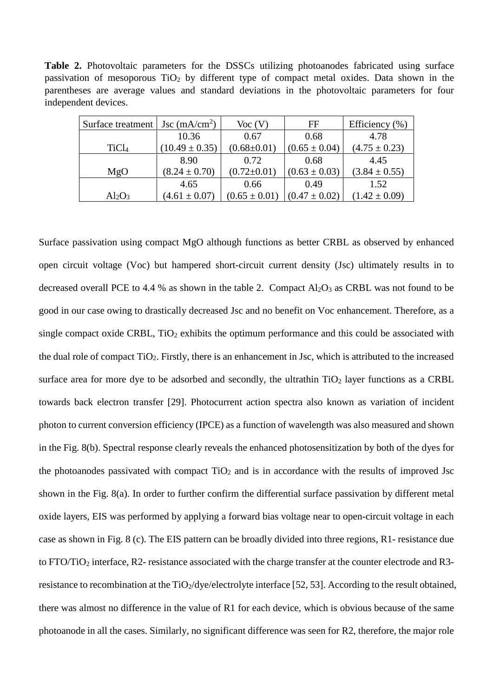**Table 2.** Photovoltaic parameters for the DSSCs utilizing photoanodes fabricated using surface passivation of mesoporous  $TiO<sub>2</sub>$  by different type of compact metal oxides. Data shown in the parentheses are average values and standard deviations in the photovoltaic parameters for four independent devices.

| Surface treatment | Jsc $(mA/cm2)$     | Voc(V)            | FF                | Efficiency $(\% )$ |
|-------------------|--------------------|-------------------|-------------------|--------------------|
|                   | 10.36              | 0.67              | 0.68              | 4.78               |
| TiCl <sub>4</sub> | $(10.49 \pm 0.35)$ | $(0.68 \pm 0.01)$ | $(0.65 \pm 0.04)$ | $(4.75 \pm 0.23)$  |
|                   | 8.90               | 0.72              | 0.68              | 4.45               |
| MgO               | $(8.24 \pm 0.70)$  | $(0.72 \pm 0.01)$ | $(0.63 \pm 0.03)$ | $(3.84 \pm 0.55)$  |
|                   | 4.65               | 0.66              | 0.49              | 1.52               |
| $Al_2O_3$         | $(4.61 \pm 0.07)$  | $(0.65 \pm 0.01)$ | $(0.47 \pm 0.02)$ | $(1.42 \pm 0.09)$  |

Surface passivation using compact MgO although functions as better CRBL as observed by enhanced open circuit voltage (Voc) but hampered short-circuit current density (Jsc) ultimately results in to decreased overall PCE to 4.4 % as shown in the table 2. Compact  $Al_2O_3$  as CRBL was not found to be good in our case owing to drastically decreased Jsc and no benefit on Voc enhancement. Therefore, as a single compact oxide CRBL,  $TiO<sub>2</sub>$  exhibits the optimum performance and this could be associated with the dual role of compact TiO2. Firstly, there is an enhancement in Jsc, which is attributed to the increased surface area for more dye to be adsorbed and secondly, the ultrathin  $TiO<sub>2</sub>$  layer functions as a CRBL towards back electron transfer [29]. Photocurrent action spectra also known as variation of incident photon to current conversion efficiency (IPCE) as a function of wavelength was also measured and shown in the Fig. 8(b). Spectral response clearly reveals the enhanced photosensitization by both of the dyes for the photoanodes passivated with compact  $TiO<sub>2</sub>$  and is in accordance with the results of improved Jsc shown in the Fig. 8(a). In order to further confirm the differential surface passivation by different metal oxide layers, EIS was performed by applying a forward bias voltage near to open-circuit voltage in each case as shown in Fig. 8 (c). The EIS pattern can be broadly divided into three regions, R1- resistance due to FTO/TiO2 interface, R2- resistance associated with the charge transfer at the counter electrode and R3 resistance to recombination at the  $TiO_2$ /dye/electrolyte interface [52, 53]. According to the result obtained, there was almost no difference in the value of R1 for each device, which is obvious because of the same photoanode in all the cases. Similarly, no significant difference was seen for R2, therefore, the major role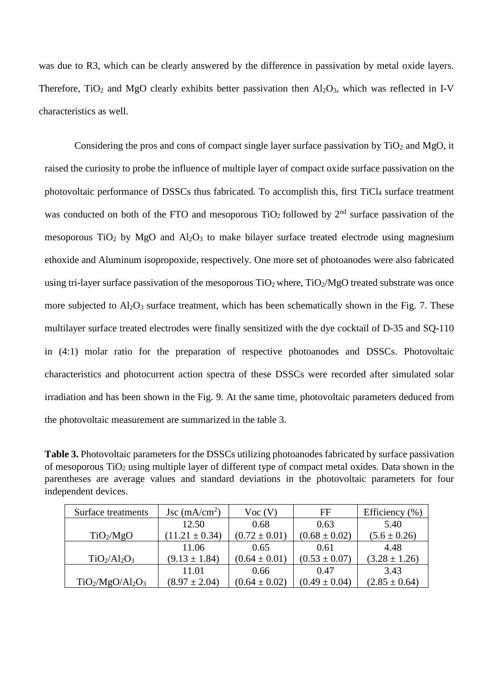was due to R3, which can be clearly answered by the difference in passivation by metal oxide layers. Therefore, TiO<sub>2</sub> and MgO clearly exhibits better passivation then  $Al_2O_3$ , which was reflected in I-V characteristics as well.

Considering the pros and cons of compact single layer surface passivation by  $TiO<sub>2</sub>$  and MgO, it raised the curiosity to probe the influence of multiple layer of compact oxide surface passivation on the photovoltaic performance of DSSCs thus fabricated. To accomplish this, first TiCl<sub>4</sub> surface treatment was conducted on both of the FTO and mesoporous  $TiO<sub>2</sub>$  followed by  $2<sup>nd</sup>$  surface passivation of the mesoporous TiO<sub>2</sub> by MgO and Al<sub>2</sub>O<sub>3</sub> to make bilayer surface treated electrode using magnesium ethoxide and Aluminum isopropoxide, respectively. One more set of photoanodes were also fabricated using tri-layer surface passivation of the mesoporous  $TiO<sub>2</sub>$  where,  $TiO<sub>2</sub>/MgO$  treated substrate was once more subjected to  $A_1Q_3$  surface treatment, which has been schematically shown in the Fig. 7. These multilayer surface treated electrodes were finally sensitized with the dye cocktail of D-35 and SQ-110 in (4:1) molar ratio for the preparation of respective photoanodes and DSSCs. Photovoltaic characteristics and photocurrent action spectra of these DSSCs were recorded after simulated solar irradiation and has been shown in the Fig. 9. At the same time, photovoltaic parameters deduced from the photovoltaic measurement are summarized in the table 3.

**Table 3.** Photovoltaic parameters for the DSSCs utilizing photoanodes fabricated by surface passivation of mesoporous  $TiO<sub>2</sub>$  using multiple layer of different type of compact metal oxides. Data shown in the parentheses are average values and standard deviations in the photovoltaic parameters for four independent devices.

| Surface treatments    | Jsc $(mA/cm2)$     | Voc(V)            | FF                | Efficiency $(\% )$ |
|-----------------------|--------------------|-------------------|-------------------|--------------------|
|                       | 12.50              | 0.68              | 0.63              | 5.40               |
| TiO <sub>2</sub> /MgO | $(11.21 \pm 0.34)$ | $(0.72 \pm 0.01)$ | $(0.68 \pm 0.02)$ | $(5.6 \pm 0.26)$   |
|                       | 11.06              | 0.65              | 0.61              | 4.48               |
| $TiO2/Al2O3$          | $(9.13 \pm 1.84)$  | $(0.64 \pm 0.01)$ | $(0.53 \pm 0.07)$ | $(3.28 \pm 1.26)$  |
|                       | 11.01              | 0.66              | 0.47              | 3.43               |
| $TiO2/MgO/Al2O3$      | $(8.97 \pm 2.04)$  | $(0.64 \pm 0.02)$ | $(0.49 \pm 0.04)$ | $(2.85 \pm 0.64)$  |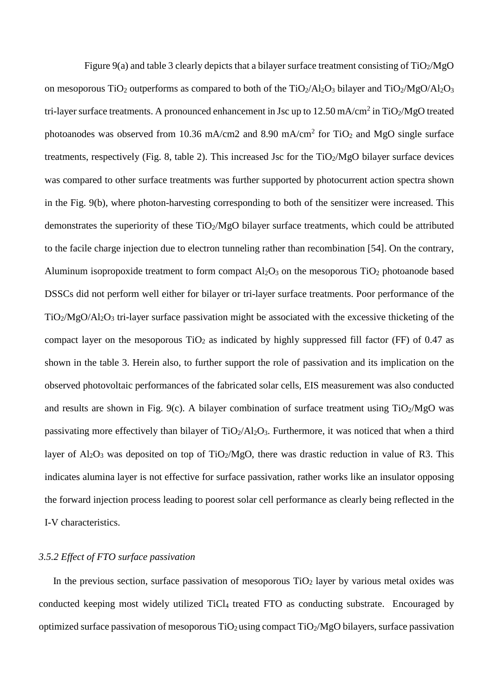Figure 9(a) and table 3 clearly depicts that a bilayer surface treatment consisting of TiO<sub>2</sub>/MgO on mesoporous TiO<sub>2</sub> outperforms as compared to both of the TiO<sub>2</sub>/Al<sub>2</sub>O<sub>3</sub> bilayer and TiO<sub>2</sub>/MgO/Al<sub>2</sub>O<sub>3</sub> tri-layer surface treatments. A pronounced enhancement in Jsc up to  $12.50$  mA/cm<sup>2</sup> in TiO<sub>2</sub>/MgO treated photoanodes was observed from 10.36 mA/cm2 and 8.90 mA/cm<sup>2</sup> for TiO<sub>2</sub> and MgO single surface treatments, respectively (Fig. 8, table 2). This increased Jsc for the  $TiO<sub>2</sub>/MgO$  bilayer surface devices was compared to other surface treatments was further supported by photocurrent action spectra shown in the Fig. 9(b), where photon-harvesting corresponding to both of the sensitizer were increased. This demonstrates the superiority of these  $TiO<sub>2</sub>/MgO$  bilayer surface treatments, which could be attributed to the facile charge injection due to electron tunneling rather than recombination [54]. On the contrary, Aluminum isopropoxide treatment to form compact  $Al_2O_3$  on the mesoporous TiO<sub>2</sub> photoanode based DSSCs did not perform well either for bilayer or tri-layer surface treatments. Poor performance of the TiO2/MgO/Al2O3 tri-layer surface passivation might be associated with the excessive thicketing of the compact layer on the mesoporous  $TiO<sub>2</sub>$  as indicated by highly suppressed fill factor (FF) of 0.47 as shown in the table 3. Herein also, to further support the role of passivation and its implication on the observed photovoltaic performances of the fabricated solar cells, EIS measurement was also conducted and results are shown in Fig. 9(c). A bilayer combination of surface treatment using  $TiO<sub>2</sub>/MgO$  was passivating more effectively than bilayer of  $TiO<sub>2</sub>/Al<sub>2</sub>O<sub>3</sub>$ . Furthermore, it was noticed that when a third layer of  $Al_2O_3$  was deposited on top of TiO<sub>2</sub>/MgO, there was drastic reduction in value of R3. This indicates alumina layer is not effective for surface passivation, rather works like an insulator opposing the forward injection process leading to poorest solar cell performance as clearly being reflected in the I-V characteristics.

## *3.5.2 Effect of FTO surface passivation*

In the previous section, surface passivation of mesoporous  $TiO<sub>2</sub>$  layer by various metal oxides was conducted keeping most widely utilized TiCl4 treated FTO as conducting substrate. Encouraged by optimized surface passivation of mesoporous  $TiO<sub>2</sub>$  using compact  $TiO<sub>2</sub>/MgO$  bilayers, surface passivation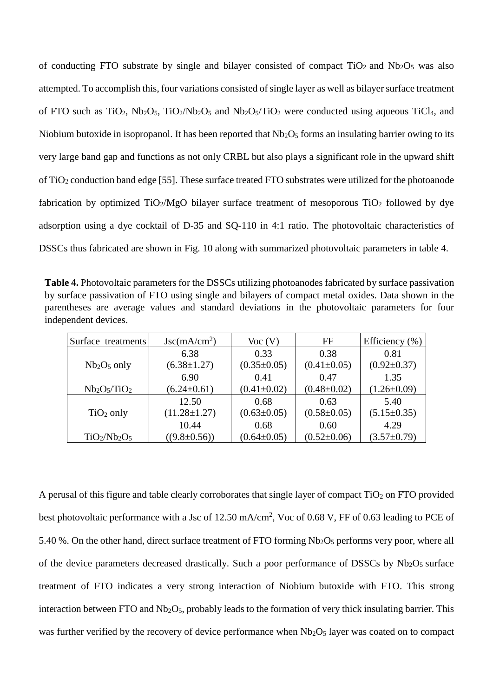of conducting FTO substrate by single and bilayer consisted of compact  $TiO<sub>2</sub>$  and  $Nb<sub>2</sub>O<sub>5</sub>$  was also attempted. To accomplish this, four variations consisted of single layer as well as bilayer surface treatment of FTO such as TiO<sub>2</sub>, Nb<sub>2</sub>O<sub>5</sub>, TiO<sub>2</sub>/Nb<sub>2</sub>O<sub>5</sub> and Nb<sub>2</sub>O<sub>5</sub>/TiO<sub>2</sub> were conducted using aqueous TiCl<sub>4</sub>, and Niobium butoxide in isopropanol. It has been reported that  $Nb<sub>2</sub>O<sub>5</sub>$  forms an insulating barrier owing to its very large band gap and functions as not only CRBL but also plays a significant role in the upward shift of TiO2 conduction band edge [55]. These surface treated FTO substrates were utilized for the photoanode fabrication by optimized TiO<sub>2</sub>/MgO bilayer surface treatment of mesoporous TiO<sub>2</sub> followed by dye adsorption using a dye cocktail of D-35 and SQ-110 in 4:1 ratio. The photovoltaic characteristics of DSSCs thus fabricated are shown in Fig. 10 along with summarized photovoltaic parameters in table 4.

**Table 4.** Photovoltaic parameters for the DSSCs utilizing photoanodes fabricated by surface passivation by surface passivation of FTO using single and bilayers of compact metal oxides. Data shown in the parentheses are average values and standard deviations in the photovoltaic parameters for four independent devices.

| Surface treatments | $\text{Jsc}(m\text{A}/\text{cm}^2)$ | Voc(V)            | $_{\rm FF}$       | Efficiency $(\% )$ |
|--------------------|-------------------------------------|-------------------|-------------------|--------------------|
|                    | 6.38                                | 0.33              | 0.38              | 0.81               |
| $Nb2O5$ only       | $(6.38 \pm 1.27)$                   | $(0.35 \pm 0.05)$ | $(0.41 \pm 0.05)$ | $(0.92 \pm 0.37)$  |
|                    | 6.90                                | 0.41              | 0.47              | 1.35               |
| $Nb2O5/TiO2$       | $(6.24 \pm 0.61)$                   | $(0.41 \pm 0.02)$ | $(0.48 \pm 0.02)$ | $(1.26 \pm 0.09)$  |
|                    | 12.50                               | 0.68              | 0.63              | 5.40               |
| $TiO2$ only        | $(11.28 \pm 1.27)$                  | $(0.63 \pm 0.05)$ | $(0.58 \pm 0.05)$ | $(5.15 \pm 0.35)$  |
|                    | 10.44                               | 0.68              | 0.60              | 4.29               |
| $TiO2/Nb2O5$       | $((9.8 \pm 0.56))$                  | $(0.64 \pm 0.05)$ | $(0.52 \pm 0.06)$ | $(3.57 \pm 0.79)$  |

A perusal of this figure and table clearly corroborates that single layer of compact  $TiO<sub>2</sub>$  on FTO provided best photovoltaic performance with a Jsc of 12.50 mA/cm<sup>2</sup>, Voc of 0.68 V, FF of 0.63 leading to PCE of 5.40 %. On the other hand, direct surface treatment of FTO forming  $Nb<sub>2</sub>O<sub>5</sub>$  performs very poor, where all of the device parameters decreased drastically. Such a poor performance of DSSCs by Nb<sub>2</sub>O<sub>5</sub> surface treatment of FTO indicates a very strong interaction of Niobium butoxide with FTO. This strong interaction between FTO and  $Nb<sub>2</sub>O<sub>5</sub>$ , probably leads to the formation of very thick insulating barrier. This was further verified by the recovery of device performance when  $Nb<sub>2</sub>O<sub>5</sub>$  layer was coated on to compact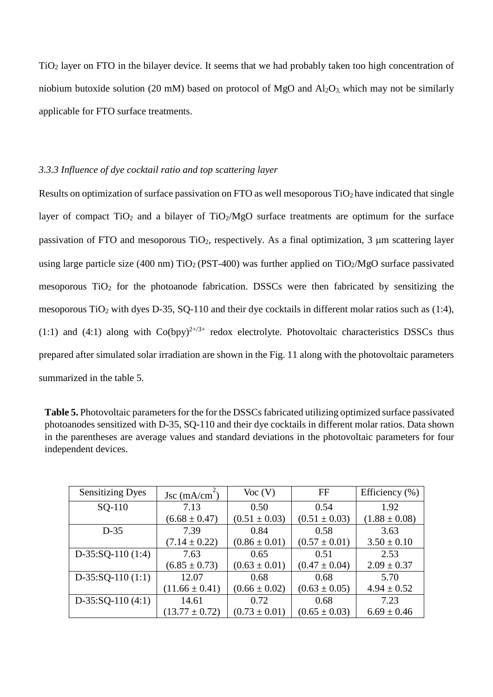TiO2 layer on FTO in the bilayer device. It seems that we had probably taken too high concentration of niobium butoxide solution (20 mM) based on protocol of MgO and  $Al_2O_3$ , which may not be similarly applicable for FTO surface treatments.

# *3.3.3 Influence of dye cocktail ratio and top scattering layer*

Results on optimization of surface passivation on FTO as well mesoporous  $TiO<sub>2</sub>$  have indicated that single layer of compact  $TiO<sub>2</sub>$  and a bilayer of  $TiO<sub>2</sub>/MgO$  surface treatments are optimum for the surface passivation of FTO and mesoporous TiO<sub>2</sub>, respectively. As a final optimization, 3  $\mu$ m scattering layer using large particle size (400 nm)  $TiO<sub>2</sub>$  (PST-400) was further applied on  $TiO<sub>2</sub>/MgO$  surface passivated mesoporous  $TiO<sub>2</sub>$  for the photoanode fabrication. DSSCs were then fabricated by sensitizing the mesoporous TiO<sub>2</sub> with dyes D-35, SQ-110 and their dye cocktails in different molar ratios such as (1:4), (1:1) and (4:1) along with  $Co(bpy)^{2+\beta+}$  redox electrolyte. Photovoltaic characteristics DSSCs thus prepared after simulated solar irradiation are shown in the Fig. 11 along with the photovoltaic parameters summarized in the table 5.

| <b>Table 5.</b> Photovoltaic parameters for the for the DSSCs fabricated utilizing optimized surface passivated |
|-----------------------------------------------------------------------------------------------------------------|
| photoanodes sensitized with D-35, SQ-110 and their dye cocktails in different molar ratios. Data shown          |
| in the parentheses are average values and standard deviations in the photovoltaic parameters for four           |
| independent devices.                                                                                            |

| <b>Sensitizing Dyes</b> | Jsc $(mA/cm2)$     | Voc(V)            | FF                | Efficiency $(\%)$ |
|-------------------------|--------------------|-------------------|-------------------|-------------------|
| SQ-110                  | 7.13               | 0.50              | 0.54              | 1.92              |
|                         | $(6.68 \pm 0.47)$  | $(0.51 \pm 0.03)$ | $(0.51 \pm 0.03)$ | $(1.88 \pm 0.08)$ |
| $D-35$                  | 7.39               | 0.84              | 0.58              | 3.63              |
|                         | $(7.14 \pm 0.22)$  | $(0.86 \pm 0.01)$ | $(0.57 \pm 0.01)$ | $3.50 \pm 0.10$   |
| $D-35:SQ-110(1:4)$      | 7.63               | 0.65              | 0.51              | 2.53              |
|                         | $(6.85 \pm 0.73)$  | $(0.63 \pm 0.01)$ | $(0.47 \pm 0.04)$ | $2.09 \pm 0.37$   |
| $D-35:SQ-110(1:1)$      | 12.07              | 0.68              | 0.68              | 5.70              |
|                         | $(11.66 \pm 0.41)$ | $(0.66 \pm 0.02)$ | $(0.63 \pm 0.05)$ | $4.94 \pm 0.52$   |
| $D-35:SQ-110(4:1)$      | 14.61              | 0.72              | 0.68              | 7.23              |
|                         | $(13.77 \pm 0.72)$ | $(0.73 \pm 0.01)$ | $(0.65 \pm 0.03)$ | $6.69 \pm 0.46$   |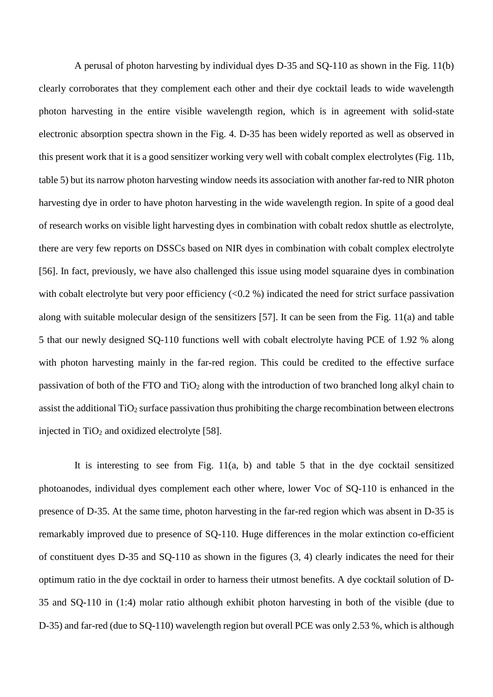A perusal of photon harvesting by individual dyes D-35 and SQ-110 as shown in the Fig. 11(b) clearly corroborates that they complement each other and their dye cocktail leads to wide wavelength photon harvesting in the entire visible wavelength region, which is in agreement with solid-state electronic absorption spectra shown in the Fig. 4. D-35 has been widely reported as well as observed in this present work that it is a good sensitizer working very well with cobalt complex electrolytes (Fig. 11b, table 5) but its narrow photon harvesting window needs its association with another far-red to NIR photon harvesting dye in order to have photon harvesting in the wide wavelength region. In spite of a good deal of research works on visible light harvesting dyes in combination with cobalt redox shuttle as electrolyte, there are very few reports on DSSCs based on NIR dyes in combination with cobalt complex electrolyte [56]. In fact, previously, we have also challenged this issue using model squaraine dyes in combination with cobalt electrolyte but very poor efficiency  $(<0.2 %$ ) indicated the need for strict surface passivation along with suitable molecular design of the sensitizers [57]. It can be seen from the Fig. 11(a) and table 5 that our newly designed SQ-110 functions well with cobalt electrolyte having PCE of 1.92 % along with photon harvesting mainly in the far-red region. This could be credited to the effective surface passivation of both of the FTO and TiO2 along with the introduction of two branched long alkyl chain to assist the additional  $TiO<sub>2</sub>$  surface passivation thus prohibiting the charge recombination between electrons injected in  $TiO<sub>2</sub>$  and oxidized electrolyte [58].

It is interesting to see from Fig. 11(a, b) and table 5 that in the dye cocktail sensitized photoanodes, individual dyes complement each other where, lower Voc of SQ-110 is enhanced in the presence of D-35. At the same time, photon harvesting in the far-red region which was absent in D-35 is remarkably improved due to presence of SQ-110. Huge differences in the molar extinction co-efficient of constituent dyes D-35 and SQ-110 as shown in the figures (3, 4) clearly indicates the need for their optimum ratio in the dye cocktail in order to harness their utmost benefits. A dye cocktail solution of D-35 and SQ-110 in (1:4) molar ratio although exhibit photon harvesting in both of the visible (due to D-35) and far-red (due to SQ-110) wavelength region but overall PCE was only 2.53 %, which is although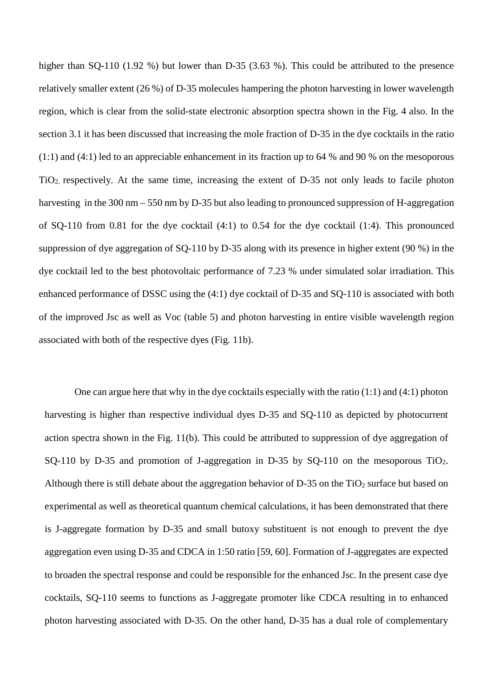higher than SQ-110 (1.92 %) but lower than D-35 (3.63 %). This could be attributed to the presence relatively smaller extent (26 %) of D-35 molecules hampering the photon harvesting in lower wavelength region, which is clear from the solid-state electronic absorption spectra shown in the Fig. 4 also. In the section 3.1 it has been discussed that increasing the mole fraction of D-35 in the dye cocktails in the ratio (1:1) and (4:1) led to an appreciable enhancement in its fraction up to 64 % and 90 % on the mesoporous TiO2, respectively. At the same time, increasing the extent of D-35 not only leads to facile photon harvesting in the 300 nm – 550 nm by D-35 but also leading to pronounced suppression of H-aggregation of SQ-110 from 0.81 for the dye cocktail (4:1) to 0.54 for the dye cocktail (1:4). This pronounced suppression of dye aggregation of SQ-110 by D-35 along with its presence in higher extent (90 %) in the dye cocktail led to the best photovoltaic performance of 7.23 % under simulated solar irradiation. This enhanced performance of DSSC using the (4:1) dye cocktail of D-35 and SQ-110 is associated with both of the improved Jsc as well as Voc (table 5) and photon harvesting in entire visible wavelength region associated with both of the respective dyes (Fig. 11b).

One can argue here that why in the dye cocktails especially with the ratio (1:1) and (4:1) photon harvesting is higher than respective individual dyes D-35 and SQ-110 as depicted by photocurrent action spectra shown in the Fig. 11(b). This could be attributed to suppression of dye aggregation of SQ-110 by D-35 and promotion of J-aggregation in D-35 by SQ-110 on the mesoporous  $TiO<sub>2</sub>$ . Although there is still debate about the aggregation behavior of  $D-35$  on the TiO<sub>2</sub> surface but based on experimental as well as theoretical quantum chemical calculations, it has been demonstrated that there is J-aggregate formation by D-35 and small butoxy substituent is not enough to prevent the dye aggregation even using D-35 and CDCA in 1:50 ratio [59, 60]. Formation of J-aggregates are expected to broaden the spectral response and could be responsible for the enhanced Jsc. In the present case dye cocktails, SQ-110 seems to functions as J-aggregate promoter like CDCA resulting in to enhanced photon harvesting associated with D-35. On the other hand, D-35 has a dual role of complementary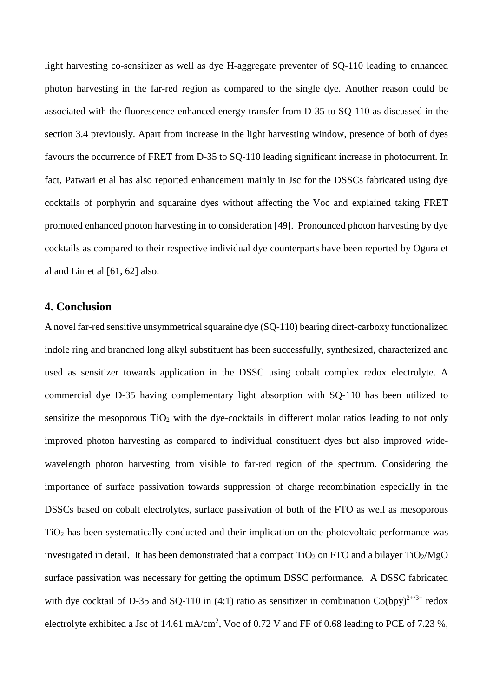light harvesting co-sensitizer as well as dye H-aggregate preventer of SQ-110 leading to enhanced photon harvesting in the far-red region as compared to the single dye. Another reason could be associated with the fluorescence enhanced energy transfer from D-35 to SQ-110 as discussed in the section 3.4 previously. Apart from increase in the light harvesting window, presence of both of dyes favours the occurrence of FRET from D-35 to SQ-110 leading significant increase in photocurrent. In fact, Patwari et al has also reported enhancement mainly in Jsc for the DSSCs fabricated using dye cocktails of porphyrin and squaraine dyes without affecting the Voc and explained taking FRET promoted enhanced photon harvesting in to consideration [49]. Pronounced photon harvesting by dye cocktails as compared to their respective individual dye counterparts have been reported by Ogura et al and Lin et al [61, 62] also.

# **4. Conclusion**

A novel far-red sensitive unsymmetrical squaraine dye (SQ-110) bearing direct-carboxy functionalized indole ring and branched long alkyl substituent has been successfully, synthesized, characterized and used as sensitizer towards application in the DSSC using cobalt complex redox electrolyte. A commercial dye D-35 having complementary light absorption with SQ-110 has been utilized to sensitize the mesoporous  $TiO<sub>2</sub>$  with the dye-cocktails in different molar ratios leading to not only improved photon harvesting as compared to individual constituent dyes but also improved widewavelength photon harvesting from visible to far-red region of the spectrum. Considering the importance of surface passivation towards suppression of charge recombination especially in the DSSCs based on cobalt electrolytes, surface passivation of both of the FTO as well as mesoporous TiO2 has been systematically conducted and their implication on the photovoltaic performance was investigated in detail. It has been demonstrated that a compact  $TiO<sub>2</sub>$  on FTO and a bilayer  $TiO<sub>2</sub>/MgO$ surface passivation was necessary for getting the optimum DSSC performance. A DSSC fabricated with dye cocktail of D-35 and SQ-110 in (4:1) ratio as sensitizer in combination  $Co(bpy)^{2+/3+}$  redox electrolyte exhibited a Jsc of 14.61 mA/cm<sup>2</sup>, Voc of 0.72 V and FF of 0.68 leading to PCE of 7.23 %,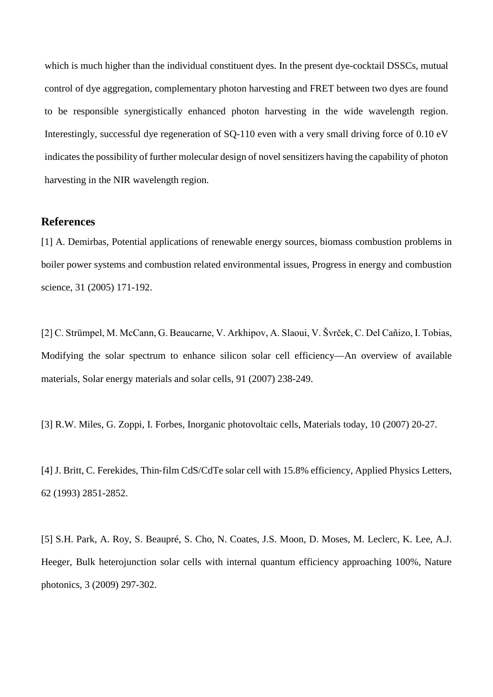which is much higher than the individual constituent dyes. In the present dye-cocktail DSSCs, mutual control of dye aggregation, complementary photon harvesting and FRET between two dyes are found to be responsible synergistically enhanced photon harvesting in the wide wavelength region. Interestingly, successful dye regeneration of SQ-110 even with a very small driving force of 0.10 eV indicates the possibility of further molecular design of novel sensitizers having the capability of photon harvesting in the NIR wavelength region.

# **References**

[1] A. Demirbas, Potential applications of renewable energy sources, biomass combustion problems in boiler power systems and combustion related environmental issues, Progress in energy and combustion science, 31 (2005) 171-192.

[2] C. Strümpel, M. McCann, G. Beaucarne, V. Arkhipov, A. Slaoui, V. Švrček, C. Del Cañizo, I. Tobias, Modifying the solar spectrum to enhance silicon solar cell efficiency—An overview of available materials, Solar energy materials and solar cells, 91 (2007) 238-249.

[3] R.W. Miles, G. Zoppi, I. Forbes, Inorganic photovoltaic cells, Materials today, 10 (2007) 20-27.

[4] J. Britt, C. Ferekides, Thin-film CdS/CdTe solar cell with 15.8% efficiency, Applied Physics Letters, 62 (1993) 2851-2852.

[5] S.H. Park, A. Roy, S. Beaupré, S. Cho, N. Coates, J.S. Moon, D. Moses, M. Leclerc, K. Lee, A.J. Heeger, Bulk heterojunction solar cells with internal quantum efficiency approaching 100%, Nature photonics, 3 (2009) 297-302.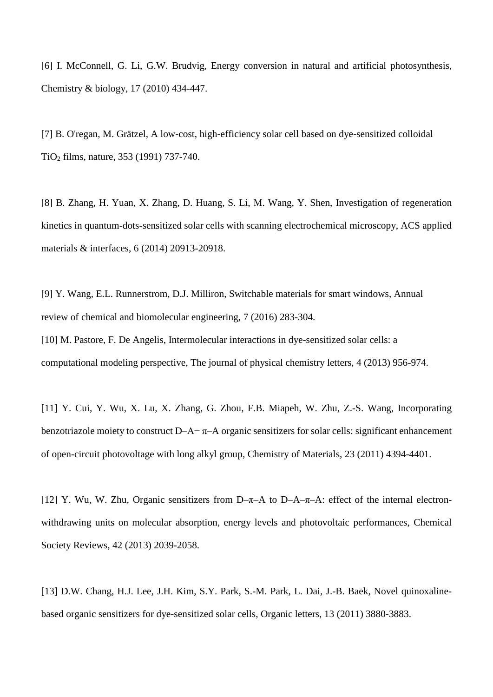[6] I. McConnell, G. Li, G.W. Brudvig, Energy conversion in natural and artificial photosynthesis, Chemistry & biology, 17 (2010) 434-447.

[7] B. O'regan, M. Grätzel, A low-cost, high-efficiency solar cell based on dye-sensitized colloidal TiO2 films, nature, 353 (1991) 737-740.

[8] B. Zhang, H. Yuan, X. Zhang, D. Huang, S. Li, M. Wang, Y. Shen, Investigation of regeneration kinetics in quantum-dots-sensitized solar cells with scanning electrochemical microscopy, ACS applied materials & interfaces, 6 (2014) 20913-20918.

[9] Y. Wang, E.L. Runnerstrom, D.J. Milliron, Switchable materials for smart windows, Annual review of chemical and biomolecular engineering, 7 (2016) 283-304.

[10] M. Pastore, F. De Angelis, Intermolecular interactions in dye-sensitized solar cells: a computational modeling perspective, The journal of physical chemistry letters, 4 (2013) 956-974.

[11] Y. Cui, Y. Wu, X. Lu, X. Zhang, G. Zhou, F.B. Miapeh, W. Zhu, Z.-S. Wang, Incorporating benzotriazole moiety to construct D–A– $\pi$ –A organic sensitizers for solar cells: significant enhancement of open-circuit photovoltage with long alkyl group, Chemistry of Materials, 23 (2011) 4394-4401.

[12] Y. Wu, W. Zhu, Organic sensitizers from D–π–A to D–A–π–A: effect of the internal electronwithdrawing units on molecular absorption, energy levels and photovoltaic performances, Chemical Society Reviews, 42 (2013) 2039-2058.

[13] D.W. Chang, H.J. Lee, J.H. Kim, S.Y. Park, S.-M. Park, L. Dai, J.-B. Baek, Novel quinoxalinebased organic sensitizers for dye-sensitized solar cells, Organic letters, 13 (2011) 3880-3883.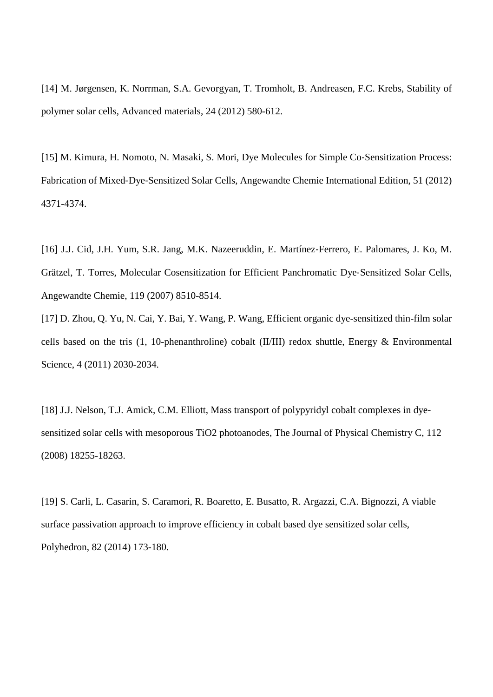[14] M. Jørgensen, K. Norrman, S.A. Gevorgyan, T. Tromholt, B. Andreasen, F.C. Krebs, Stability of polymer solar cells, Advanced materials, 24 (2012) 580-612.

[15] M. Kimura, H. Nomoto, N. Masaki, S. Mori, Dye Molecules for Simple Co‐Sensitization Process: Fabrication of Mixed‐Dye‐Sensitized Solar Cells, Angewandte Chemie International Edition, 51 (2012) 4371-4374.

[16] J.J. Cid, J.H. Yum, S.R. Jang, M.K. Nazeeruddin, E. Martínez‐Ferrero, E. Palomares, J. Ko, M. Grätzel, T. Torres, Molecular Cosensitization for Efficient Panchromatic Dye‐Sensitized Solar Cells, Angewandte Chemie, 119 (2007) 8510-8514.

[17] D. Zhou, Q. Yu, N. Cai, Y. Bai, Y. Wang, P. Wang, Efficient organic dye-sensitized thin-film solar cells based on the tris (1, 10-phenanthroline) cobalt (II/III) redox shuttle, Energy & Environmental Science, 4 (2011) 2030-2034.

[18] J.J. Nelson, T.J. Amick, C.M. Elliott, Mass transport of polypyridyl cobalt complexes in dyesensitized solar cells with mesoporous TiO2 photoanodes, The Journal of Physical Chemistry C, 112 (2008) 18255-18263.

[19] S. Carli, L. Casarin, S. Caramori, R. Boaretto, E. Busatto, R. Argazzi, C.A. Bignozzi, A viable surface passivation approach to improve efficiency in cobalt based dye sensitized solar cells, Polyhedron, 82 (2014) 173-180.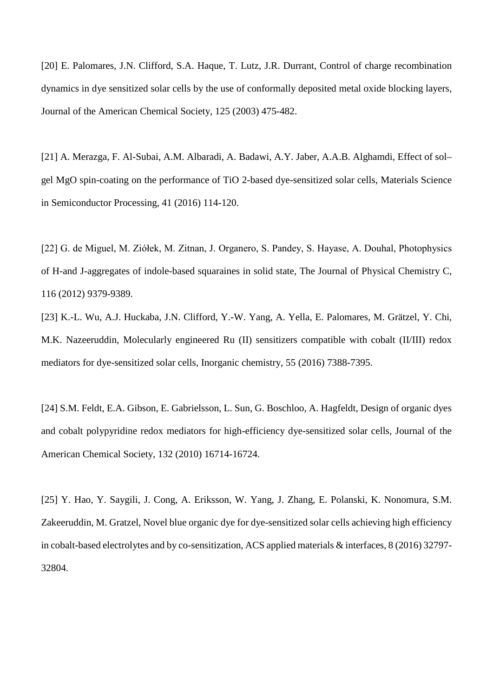[20] E. Palomares, J.N. Clifford, S.A. Haque, T. Lutz, J.R. Durrant, Control of charge recombination dynamics in dye sensitized solar cells by the use of conformally deposited metal oxide blocking layers, Journal of the American Chemical Society, 125 (2003) 475-482.

[21] A. Merazga, F. Al-Subai, A.M. Albaradi, A. Badawi, A.Y. Jaber, A.A.B. Alghamdi, Effect of sol– gel MgO spin-coating on the performance of TiO 2-based dye-sensitized solar cells, Materials Science in Semiconductor Processing, 41 (2016) 114-120.

[22] G. de Miguel, M. Ziółek, M. Zitnan, J. Organero, S. Pandey, S. Hayase, A. Douhal, Photophysics of H-and J-aggregates of indole-based squaraines in solid state, The Journal of Physical Chemistry C, 116 (2012) 9379-9389.

[23] K.-L. Wu, A.J. Huckaba, J.N. Clifford, Y.-W. Yang, A. Yella, E. Palomares, M. Grätzel, Y. Chi, M.K. Nazeeruddin, Molecularly engineered Ru (II) sensitizers compatible with cobalt (II/III) redox mediators for dye-sensitized solar cells, Inorganic chemistry, 55 (2016) 7388-7395.

[24] S.M. Feldt, E.A. Gibson, E. Gabrielsson, L. Sun, G. Boschloo, A. Hagfeldt, Design of organic dyes and cobalt polypyridine redox mediators for high-efficiency dye-sensitized solar cells, Journal of the American Chemical Society, 132 (2010) 16714-16724.

[25] Y. Hao, Y. Saygili, J. Cong, A. Eriksson, W. Yang, J. Zhang, E. Polanski, K. Nonomura, S.M. Zakeeruddin, M. Gratzel, Novel blue organic dye for dye-sensitized solar cells achieving high efficiency in cobalt-based electrolytes and by co-sensitization, ACS applied materials & interfaces, 8 (2016) 32797- 32804.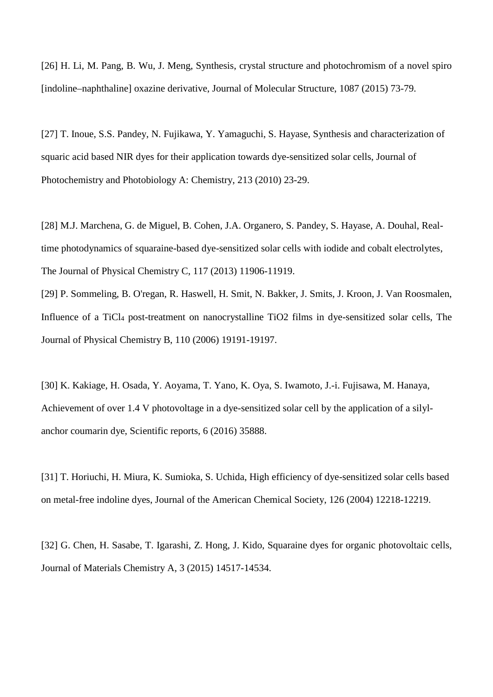[26] H. Li, M. Pang, B. Wu, J. Meng, Synthesis, crystal structure and photochromism of a novel spiro [indoline–naphthaline] oxazine derivative, Journal of Molecular Structure, 1087 (2015) 73-79.

[27] T. Inoue, S.S. Pandey, N. Fujikawa, Y. Yamaguchi, S. Hayase, Synthesis and characterization of squaric acid based NIR dyes for their application towards dye-sensitized solar cells, Journal of Photochemistry and Photobiology A: Chemistry, 213 (2010) 23-29.

[28] M.J. Marchena, G. de Miguel, B. Cohen, J.A. Organero, S. Pandey, S. Hayase, A. Douhal, Realtime photodynamics of squaraine-based dye-sensitized solar cells with iodide and cobalt electrolytes, The Journal of Physical Chemistry C, 117 (2013) 11906-11919.

[29] P. Sommeling, B. O'regan, R. Haswell, H. Smit, N. Bakker, J. Smits, J. Kroon, J. Van Roosmalen, Influence of a TiCl4 post-treatment on nanocrystalline TiO2 films in dye-sensitized solar cells, The Journal of Physical Chemistry B, 110 (2006) 19191-19197.

[30] K. Kakiage, H. Osada, Y. Aoyama, T. Yano, K. Oya, S. Iwamoto, J.-i. Fujisawa, M. Hanaya, Achievement of over 1.4 V photovoltage in a dye-sensitized solar cell by the application of a silylanchor coumarin dye, Scientific reports, 6 (2016) 35888.

[31] T. Horiuchi, H. Miura, K. Sumioka, S. Uchida, High efficiency of dye-sensitized solar cells based on metal-free indoline dyes, Journal of the American Chemical Society, 126 (2004) 12218-12219.

[32] G. Chen, H. Sasabe, T. Igarashi, Z. Hong, J. Kido, Squaraine dyes for organic photovoltaic cells, Journal of Materials Chemistry A, 3 (2015) 14517-14534.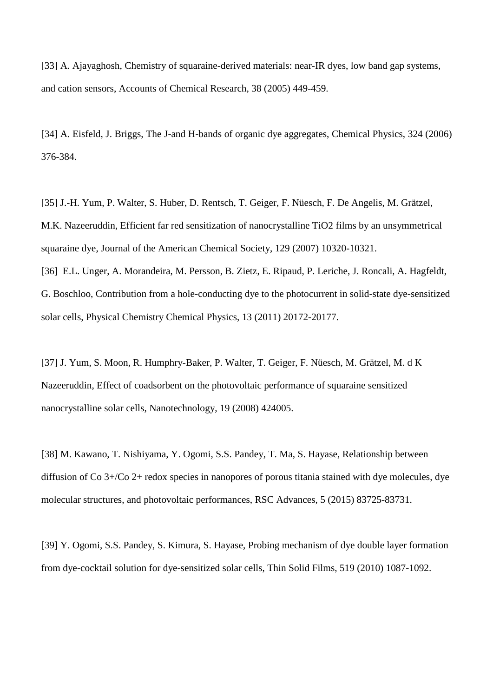[33] A. Ajayaghosh, Chemistry of squaraine-derived materials: near-IR dyes, low band gap systems, and cation sensors, Accounts of Chemical Research, 38 (2005) 449-459.

[34] A. Eisfeld, J. Briggs, The J-and H-bands of organic dye aggregates, Chemical Physics, 324 (2006) 376-384.

[35] J.-H. Yum, P. Walter, S. Huber, D. Rentsch, T. Geiger, F. Nüesch, F. De Angelis, M. Grätzel, M.K. Nazeeruddin, Efficient far red sensitization of nanocrystalline TiO2 films by an unsymmetrical squaraine dye, Journal of the American Chemical Society, 129 (2007) 10320-10321.

[36] E.L. Unger, A. Morandeira, M. Persson, B. Zietz, E. Ripaud, P. Leriche, J. Roncali, A. Hagfeldt, G. Boschloo, Contribution from a hole-conducting dye to the photocurrent in solid-state dye-sensitized solar cells, Physical Chemistry Chemical Physics, 13 (2011) 20172-20177.

[37] J. Yum, S. Moon, R. Humphry-Baker, P. Walter, T. Geiger, F. Nüesch, M. Grätzel, M. d K Nazeeruddin, Effect of coadsorbent on the photovoltaic performance of squaraine sensitized nanocrystalline solar cells, Nanotechnology, 19 (2008) 424005.

[38] M. Kawano, T. Nishiyama, Y. Ogomi, S.S. Pandey, T. Ma, S. Hayase, Relationship between diffusion of Co 3+/Co 2+ redox species in nanopores of porous titania stained with dye molecules, dye molecular structures, and photovoltaic performances, RSC Advances, 5 (2015) 83725-83731.

[39] Y. Ogomi, S.S. Pandey, S. Kimura, S. Hayase, Probing mechanism of dye double layer formation from dye-cocktail solution for dye-sensitized solar cells, Thin Solid Films, 519 (2010) 1087-1092.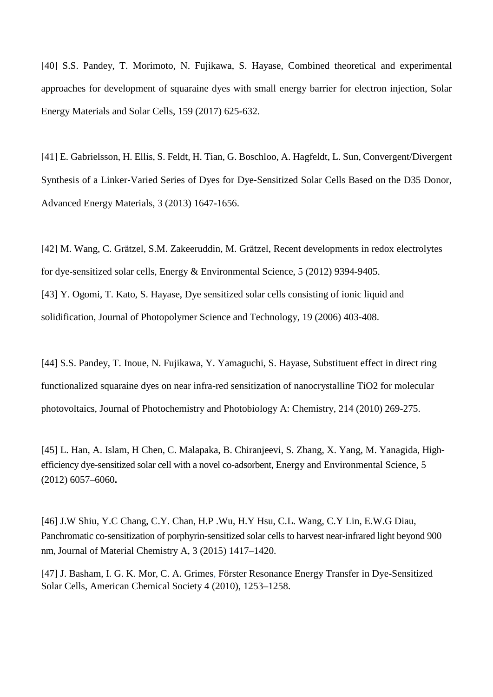[40] S.S. Pandey, T. Morimoto, N. Fujikawa, S. Hayase, Combined theoretical and experimental approaches for development of squaraine dyes with small energy barrier for electron injection, Solar Energy Materials and Solar Cells, 159 (2017) 625-632.

[41] E. Gabrielsson, H. Ellis, S. Feldt, H. Tian, G. Boschloo, A. Hagfeldt, L. Sun, Convergent/Divergent Synthesis of a Linker‐Varied Series of Dyes for Dye‐Sensitized Solar Cells Based on the D35 Donor, Advanced Energy Materials, 3 (2013) 1647-1656.

[42] M. Wang, C. Grätzel, S.M. Zakeeruddin, M. Grätzel, Recent developments in redox electrolytes for dye-sensitized solar cells, Energy & Environmental Science, 5 (2012) 9394-9405. [43] Y. Ogomi, T. Kato, S. Hayase, Dye sensitized solar cells consisting of ionic liquid and solidification, Journal of Photopolymer Science and Technology, 19 (2006) 403-408.

[44] S.S. Pandey, T. Inoue, N. Fujikawa, Y. Yamaguchi, S. Hayase, Substituent effect in direct ring functionalized squaraine dyes on near infra-red sensitization of nanocrystalline TiO2 for molecular photovoltaics, Journal of Photochemistry and Photobiology A: Chemistry, 214 (2010) 269-275.

[45] L. Han, A. Islam, H Chen, C. Malapaka, B. Chiranjeevi, S. Zhang, X. Yang, M. Yanagida, Highefficiency dye-sensitized solar cell with a novel co-adsorbent, Energy and Environmental Science, 5 (2012) 6057–6060**.**

[46] J.W Shiu, Y.C Chang, C.Y. Chan, H.P .Wu, H.Y Hsu, C.L. Wang, C.Y Lin, E.W.G Diau, Panchromatic co-sensitization of porphyrin-sensitized solar cells to harvest near-infrared light beyond 900 nm, Journal of Material Chemistry A, 3 (2015) 1417–1420.

[47] J. Basham, I. G. K. Mor, C. A. Grimes, Förster Resonance Energy Transfer in Dye-Sensitized Solar Cells, American Chemical Society 4 (2010), 1253–1258.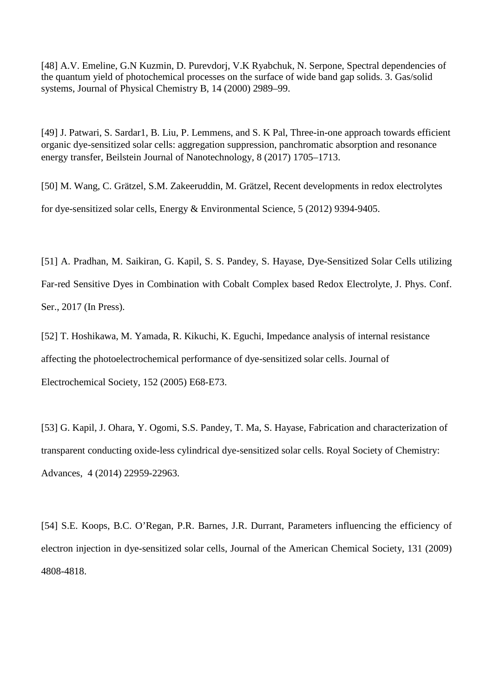[48] A.V. Emeline, G.N Kuzmin, D. Purevdorj, V.K Ryabchuk, N. Serpone, Spectral dependencies of the quantum yield of photochemical processes on the surface of wide band gap solids. 3. Gas/solid systems, Journal of Physical Chemistry B, 14 (2000) 2989–99.

[49] J. Patwari, S. Sardar1, B. Liu, P. Lemmens, and S. K Pal, Three-in-one approach towards efficient organic dye-sensitized solar cells: aggregation suppression, panchromatic absorption and resonance energy transfer, Beilstein Journal of Nanotechnology, 8 (2017) 1705–1713.

[50] M. Wang, C. Grätzel, S.M. Zakeeruddin, M. Grätzel, Recent developments in redox electrolytes for dye-sensitized solar cells, Energy & Environmental Science, 5 (2012) 9394-9405.

[51] A. Pradhan, M. Saikiran, G. Kapil, S. S. Pandey, S. Hayase, Dye-Sensitized Solar Cells utilizing Far-red Sensitive Dyes in Combination with Cobalt Complex based Redox Electrolyte, J. Phys. Conf. Ser., 2017 (In Press).

[52] T. Hoshikawa, M. Yamada, R. Kikuchi, K. Eguchi, Impedance analysis of internal resistance affecting the photoelectrochemical performance of dye-sensitized solar cells. Journal of Electrochemical Society, 152 (2005) E68-E73.

[53] G. Kapil, J. Ohara, Y. Ogomi, S.S. Pandey, T. Ma, S. Hayase, Fabrication and characterization of transparent conducting oxide-less cylindrical dye-sensitized solar cells. Royal Society of Chemistry: Advances, 4 (2014) 22959-22963.

[54] S.E. Koops, B.C. O'Regan, P.R. Barnes, J.R. Durrant, Parameters influencing the efficiency of electron injection in dye-sensitized solar cells, Journal of the American Chemical Society, 131 (2009) 4808-4818.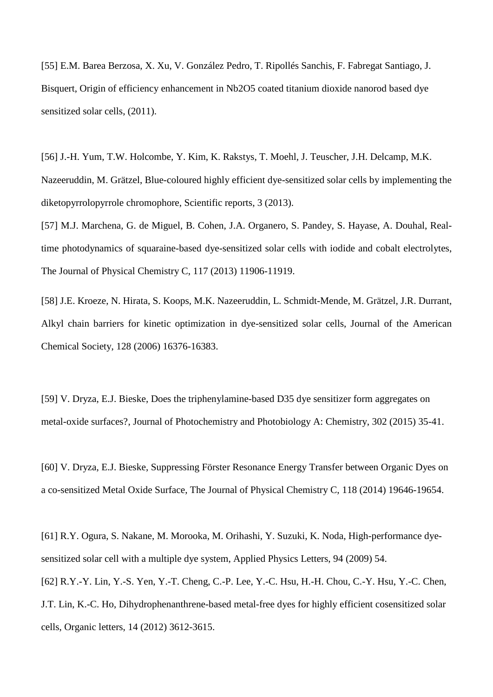[55] E.M. Barea Berzosa, X. Xu, V. González Pedro, T. Ripollés Sanchis, F. Fabregat Santiago, J. Bisquert, Origin of efficiency enhancement in Nb2O5 coated titanium dioxide nanorod based dye sensitized solar cells, (2011).

[56] J.-H. Yum, T.W. Holcombe, Y. Kim, K. Rakstys, T. Moehl, J. Teuscher, J.H. Delcamp, M.K. Nazeeruddin, M. Grätzel, Blue-coloured highly efficient dye-sensitized solar cells by implementing the diketopyrrolopyrrole chromophore, Scientific reports, 3 (2013).

[57] M.J. Marchena, G. de Miguel, B. Cohen, J.A. Organero, S. Pandey, S. Hayase, A. Douhal, Realtime photodynamics of squaraine-based dye-sensitized solar cells with iodide and cobalt electrolytes, The Journal of Physical Chemistry C, 117 (2013) 11906-11919.

[58] J.E. Kroeze, N. Hirata, S. Koops, M.K. Nazeeruddin, L. Schmidt-Mende, M. Grätzel, J.R. Durrant, Alkyl chain barriers for kinetic optimization in dye-sensitized solar cells, Journal of the American Chemical Society, 128 (2006) 16376-16383.

[59] V. Dryza, E.J. Bieske, Does the triphenylamine-based D35 dye sensitizer form aggregates on metal-oxide surfaces?, Journal of Photochemistry and Photobiology A: Chemistry, 302 (2015) 35-41.

[60] V. Dryza, E.J. Bieske, Suppressing Förster Resonance Energy Transfer between Organic Dyes on a co-sensitized Metal Oxide Surface, The Journal of Physical Chemistry C, 118 (2014) 19646-19654.

[61] R.Y. Ogura, S. Nakane, M. Morooka, M. Orihashi, Y. Suzuki, K. Noda, High-performance dyesensitized solar cell with a multiple dye system, Applied Physics Letters, 94 (2009) 54. [62] R.Y.-Y. Lin, Y.-S. Yen, Y.-T. Cheng, C.-P. Lee, Y.-C. Hsu, H.-H. Chou, C.-Y. Hsu, Y.-C. Chen, J.T. Lin, K.-C. Ho, Dihydrophenanthrene-based metal-free dyes for highly efficient cosensitized solar cells, Organic letters, 14 (2012) 3612-3615.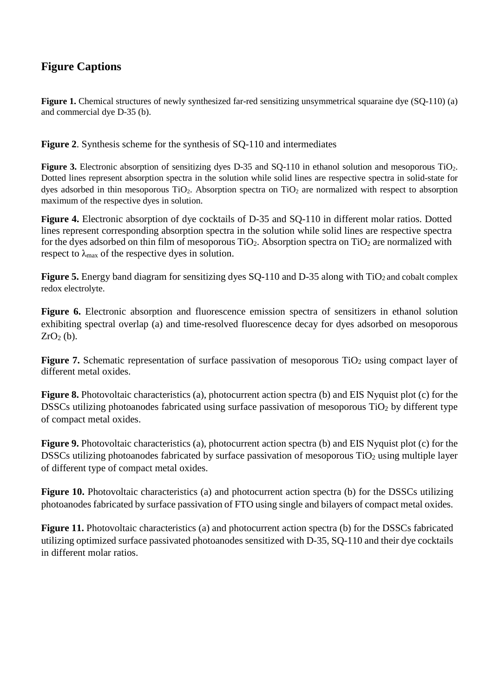# **Figure Captions**

**Figure 1.** Chemical structures of newly synthesized far-red sensitizing unsymmetrical squaraine dye (SQ-110) (a) and commercial dye D-35 (b).

**Figure 2**. Synthesis scheme for the synthesis of SQ-110 and intermediates

Figure 3. Electronic absorption of sensitizing dyes D-35 and SQ-110 in ethanol solution and mesoporous TiO<sub>2</sub>. Dotted lines represent absorption spectra in the solution while solid lines are respective spectra in solid-state for dyes adsorbed in thin mesoporous  $TiO<sub>2</sub>$ . Absorption spectra on  $TiO<sub>2</sub>$  are normalized with respect to absorption maximum of the respective dyes in solution.

**Figure 4.** Electronic absorption of dye cocktails of D-35 and SQ-110 in different molar ratios. Dotted lines represent corresponding absorption spectra in the solution while solid lines are respective spectra for the dyes adsorbed on thin film of mesoporous  $TiO<sub>2</sub>$ . Absorption spectra on  $TiO<sub>2</sub>$  are normalized with respect to  $\lambda_{\text{max}}$  of the respective dyes in solution.

**Figure 5.** Energy band diagram for sensitizing dyes SQ-110 and D-35 along with TiO<sub>2</sub> and cobalt complex redox electrolyte.

Figure 6. Electronic absorption and fluorescence emission spectra of sensitizers in ethanol solution exhibiting spectral overlap (a) and time-resolved fluorescence decay for dyes adsorbed on mesoporous  $ZrO<sub>2</sub>$  (b).

**Figure 7.** Schematic representation of surface passivation of mesoporous TiO<sub>2</sub> using compact layer of different metal oxides.

**Figure 8.** Photovoltaic characteristics (a), photocurrent action spectra (b) and EIS Nyquist plot (c) for the DSSCs utilizing photoanodes fabricated using surface passivation of mesoporous  $TiO<sub>2</sub>$  by different type of compact metal oxides.

**Figure 9.** Photovoltaic characteristics (a), photocurrent action spectra (b) and EIS Nyquist plot (c) for the DSSCs utilizing photoanodes fabricated by surface passivation of mesoporous  $TiO<sub>2</sub>$  using multiple layer of different type of compact metal oxides.

**Figure 10.** Photovoltaic characteristics (a) and photocurrent action spectra (b) for the DSSCs utilizing photoanodes fabricated by surface passivation of FTO using single and bilayers of compact metal oxides.

**Figure 11.** Photovoltaic characteristics (a) and photocurrent action spectra (b) for the DSSCs fabricated utilizing optimized surface passivated photoanodes sensitized with D-35, SQ-110 and their dye cocktails in different molar ratios.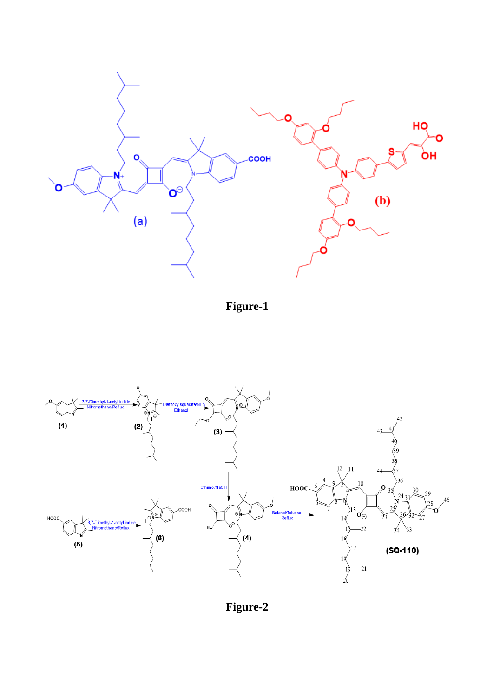

**Figure-1**



**Figure-2**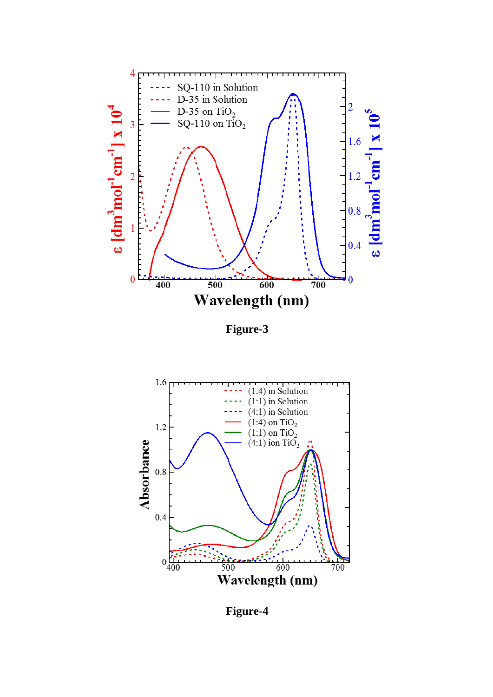

**Figure-3**



**Figure-4**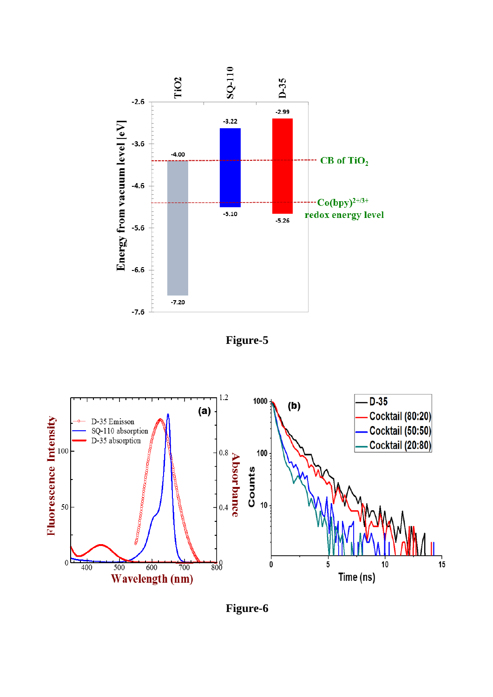





**Figure-6**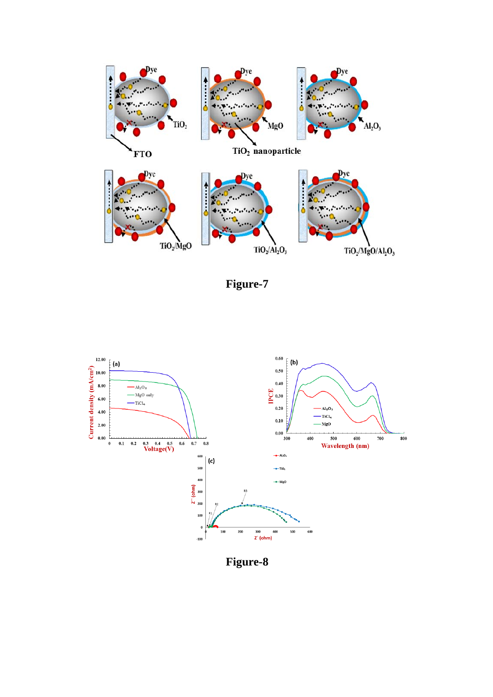

**Figure-7**



**Figure-8**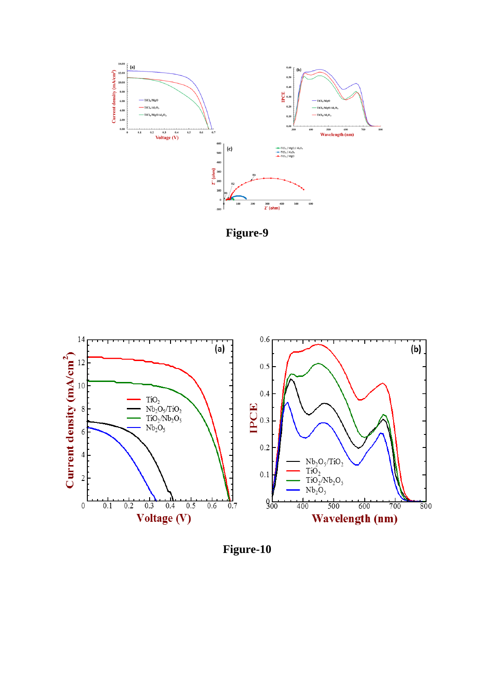





**Figure-10**